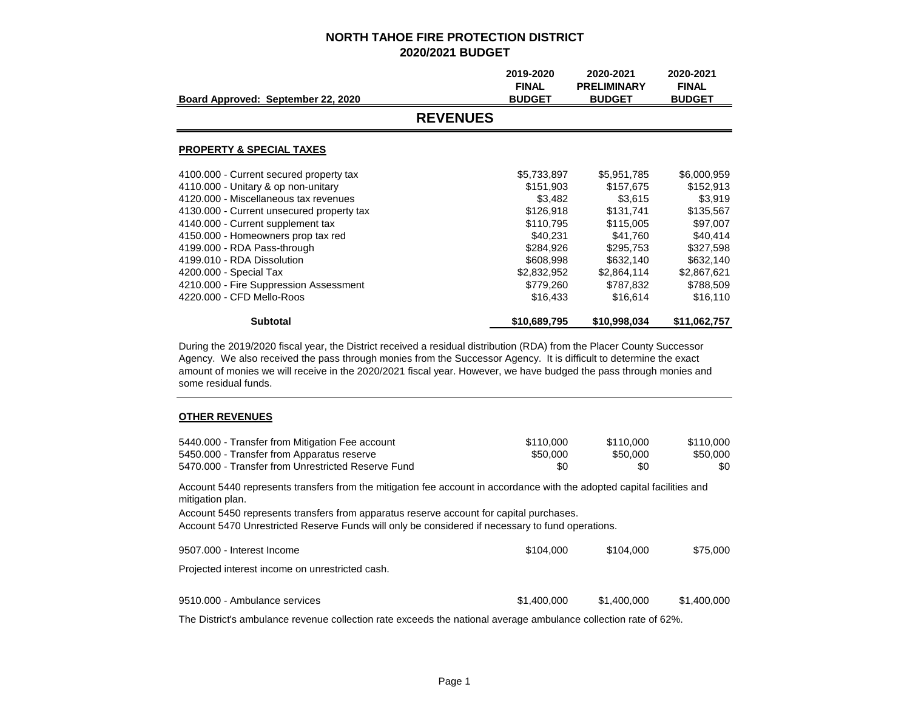|                                           | 2019-2020<br><b>FINAL</b> | 2020-2021<br><b>PRELIMINARY</b> | 2020-2021<br><b>FINAL</b> |
|-------------------------------------------|---------------------------|---------------------------------|---------------------------|
| Board Approved: September 22, 2020        | <b>BUDGET</b>             | <b>BUDGET</b>                   | <b>BUDGET</b>             |
| <b>REVENUES</b>                           |                           |                                 |                           |
| <b>PROPERTY &amp; SPECIAL TAXES</b>       |                           |                                 |                           |
| 4100.000 - Current secured property tax   | \$5,733,897               | \$5,951,785                     | \$6,000,959               |
| 4110.000 - Unitary & op non-unitary       | \$151,903                 | \$157,675                       | \$152,913                 |
| 4120,000 - Miscellaneous tax revenues     | \$3,482                   | \$3,615                         | \$3,919                   |
| 4130.000 - Current unsecured property tax | \$126,918                 | \$131,741                       | \$135,567                 |
| 4140.000 - Current supplement tax         | \$110,795                 | \$115,005                       | \$97,007                  |
| 4150.000 - Homeowners prop tax red        | \$40,231                  | \$41,760                        | \$40,414                  |
| 4199.000 - RDA Pass-through               | \$284,926                 | \$295,753                       | \$327,598                 |
| 4199.010 - RDA Dissolution                | \$608,998                 | \$632,140                       | \$632,140                 |
| 4200.000 - Special Tax                    | \$2,832,952               | \$2,864,114                     | \$2,867,621               |
| 4210.000 - Fire Suppression Assessment    | \$779,260                 | \$787,832                       | \$788,509                 |
| 4220,000 - CFD Mello-Roos                 | \$16,433                  | \$16,614                        | \$16,110                  |
| <b>Subtotal</b>                           | \$10,689,795              | \$10,998,034                    | \$11,062,757              |

During the 2019/2020 fiscal year, the District received a residual distribution (RDA) from the Placer County Successor Agency. We also received the pass through monies from the Successor Agency. It is difficult to determine the exact amount of monies we will receive in the 2020/2021 fiscal year. However, we have budged the pass through monies and some residual funds.

#### **OTHER REVENUES**

| 5440.000 - Transfer from Mitigation Fee account                                                                                             | \$110,000   | \$110,000   | \$110,000   |
|---------------------------------------------------------------------------------------------------------------------------------------------|-------------|-------------|-------------|
| 5450.000 - Transfer from Apparatus reserve                                                                                                  | \$50,000    | \$50,000    | \$50,000    |
| 5470,000 - Transfer from Unrestricted Reserve Fund                                                                                          | \$0         | \$0         | \$0         |
| Account 5440 represents transfers from the mitigation fee account in accordance with the adopted capital facilities and<br>mitigation plan. |             |             |             |
| Account 5450 represents transfers from apparatus reserve account for capital purchases.                                                     |             |             |             |
| Account 5470 Unrestricted Reserve Funds will only be considered if necessary to fund operations.                                            |             |             |             |
| 9507.000 - Interest Income                                                                                                                  | \$104.000   | \$104,000   | \$75,000    |
| Projected interest income on unrestricted cash.                                                                                             |             |             |             |
| 9510,000 - Ambulance services                                                                                                               | \$1,400,000 | \$1,400,000 | \$1,400,000 |
|                                                                                                                                             |             |             |             |
| The District's ambulance revenue collection rate exceeds the national average ambulance collection rate of 62%.                             |             |             |             |

Page 1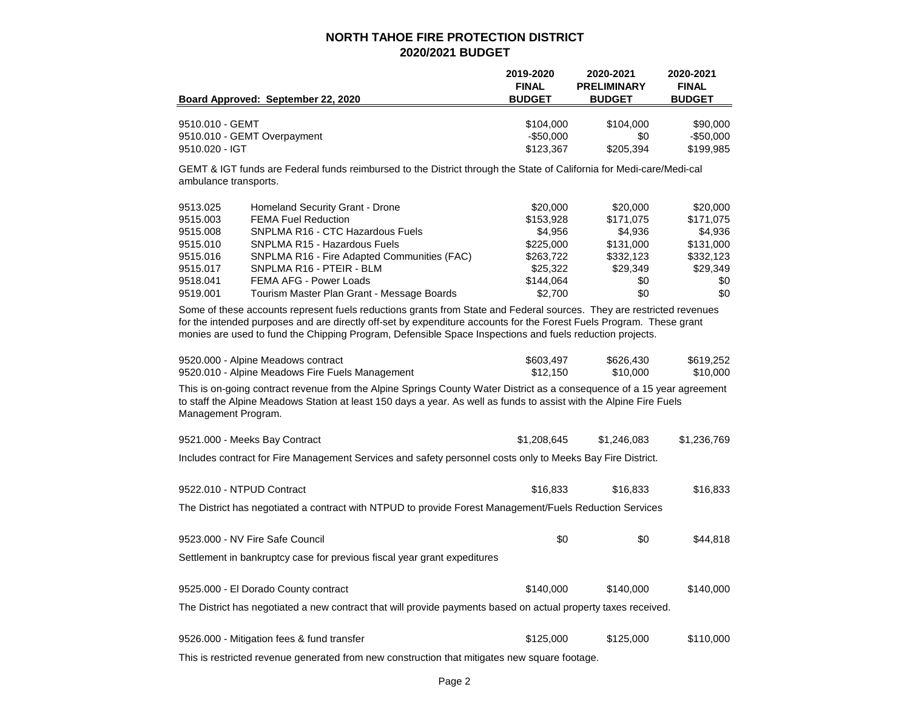|                                                                                              |                                                                                                                                                                                                                                                                                                                                                                                                                             | 2019-2020<br><b>FINAL</b>                                                                      | 2020-2021<br><b>PRELIMINARY</b>                                                      | 2020-2021<br><b>FINAL</b>                                                            |
|----------------------------------------------------------------------------------------------|-----------------------------------------------------------------------------------------------------------------------------------------------------------------------------------------------------------------------------------------------------------------------------------------------------------------------------------------------------------------------------------------------------------------------------|------------------------------------------------------------------------------------------------|--------------------------------------------------------------------------------------|--------------------------------------------------------------------------------------|
|                                                                                              | Board Approved: September 22, 2020                                                                                                                                                                                                                                                                                                                                                                                          | <b>BUDGET</b>                                                                                  | <b>BUDGET</b>                                                                        | <b>BUDGET</b>                                                                        |
| 9510.010 - GEMT<br>9510.020 - IGT                                                            | 9510.010 - GEMT Overpayment                                                                                                                                                                                                                                                                                                                                                                                                 | \$104,000<br>$-$ \$50,000<br>\$123,367                                                         | \$104,000<br>\$0<br>\$205,394                                                        | \$90,000<br>$-$50,000$<br>\$199,985                                                  |
| ambulance transports.                                                                        | GEMT & IGT funds are Federal funds reimbursed to the District through the State of California for Medi-care/Medi-cal                                                                                                                                                                                                                                                                                                        |                                                                                                |                                                                                      |                                                                                      |
| 9513.025<br>9515,003<br>9515.008<br>9515.010<br>9515.016<br>9515.017<br>9518.041<br>9519.001 | <b>Homeland Security Grant - Drone</b><br><b>FEMA Fuel Reduction</b><br>SNPLMA R16 - CTC Hazardous Fuels<br>SNPLMA R15 - Hazardous Fuels<br>SNPLMA R16 - Fire Adapted Communities (FAC)<br>SNPLMA R16 - PTEIR - BLM<br><b>FEMA AFG - Power Loads</b><br>Tourism Master Plan Grant - Message Boards<br>Some of these accounts represent fuels reductions grants from State and Federal sources. They are restricted revenues | \$20,000<br>\$153,928<br>\$4,956<br>\$225,000<br>\$263,722<br>\$25,322<br>\$144,064<br>\$2,700 | \$20,000<br>\$171,075<br>\$4,936<br>\$131,000<br>\$332,123<br>\$29,349<br>\$0<br>\$0 | \$20,000<br>\$171,075<br>\$4,936<br>\$131,000<br>\$332,123<br>\$29,349<br>\$0<br>\$0 |
|                                                                                              | for the intended purposes and are directly off-set by expenditure accounts for the Forest Fuels Program. These grant<br>monies are used to fund the Chipping Program, Defensible Space Inspections and fuels reduction projects.                                                                                                                                                                                            |                                                                                                |                                                                                      |                                                                                      |
|                                                                                              | 9520.000 - Alpine Meadows contract<br>9520.010 - Alpine Meadows Fire Fuels Management                                                                                                                                                                                                                                                                                                                                       | \$603,497<br>\$12,150                                                                          | \$626,430<br>\$10,000                                                                | \$619,252<br>\$10,000                                                                |
| Management Program.                                                                          | This is on-going contract revenue from the Alpine Springs County Water District as a consequence of a 15 year agreement<br>to staff the Alpine Meadows Station at least 150 days a year. As well as funds to assist with the Alpine Fire Fuels                                                                                                                                                                              |                                                                                                |                                                                                      |                                                                                      |
|                                                                                              | 9521.000 - Meeks Bay Contract                                                                                                                                                                                                                                                                                                                                                                                               | \$1,208,645                                                                                    | \$1,246,083                                                                          | \$1,236,769                                                                          |
|                                                                                              | Includes contract for Fire Management Services and safety personnel costs only to Meeks Bay Fire District.                                                                                                                                                                                                                                                                                                                  |                                                                                                |                                                                                      |                                                                                      |
| 9522.010 - NTPUD Contract                                                                    |                                                                                                                                                                                                                                                                                                                                                                                                                             | \$16,833                                                                                       | \$16,833                                                                             | \$16,833                                                                             |
|                                                                                              | The District has negotiated a contract with NTPUD to provide Forest Management/Fuels Reduction Services                                                                                                                                                                                                                                                                                                                     |                                                                                                |                                                                                      |                                                                                      |
|                                                                                              | 9523,000 - NV Fire Safe Council                                                                                                                                                                                                                                                                                                                                                                                             | \$0                                                                                            | \$0                                                                                  | \$44,818                                                                             |
|                                                                                              | Settlement in bankruptcy case for previous fiscal year grant expeditures                                                                                                                                                                                                                                                                                                                                                    |                                                                                                |                                                                                      |                                                                                      |
|                                                                                              | 9525.000 - El Dorado County contract                                                                                                                                                                                                                                                                                                                                                                                        | \$140,000                                                                                      | \$140,000                                                                            | \$140,000                                                                            |
|                                                                                              | The District has negotiated a new contract that will provide payments based on actual property taxes received.                                                                                                                                                                                                                                                                                                              |                                                                                                |                                                                                      |                                                                                      |
|                                                                                              | 9526.000 - Mitigation fees & fund transfer                                                                                                                                                                                                                                                                                                                                                                                  | \$125,000                                                                                      | \$125,000                                                                            | \$110,000                                                                            |

This is restricted revenue generated from new construction that mitigates new square footage.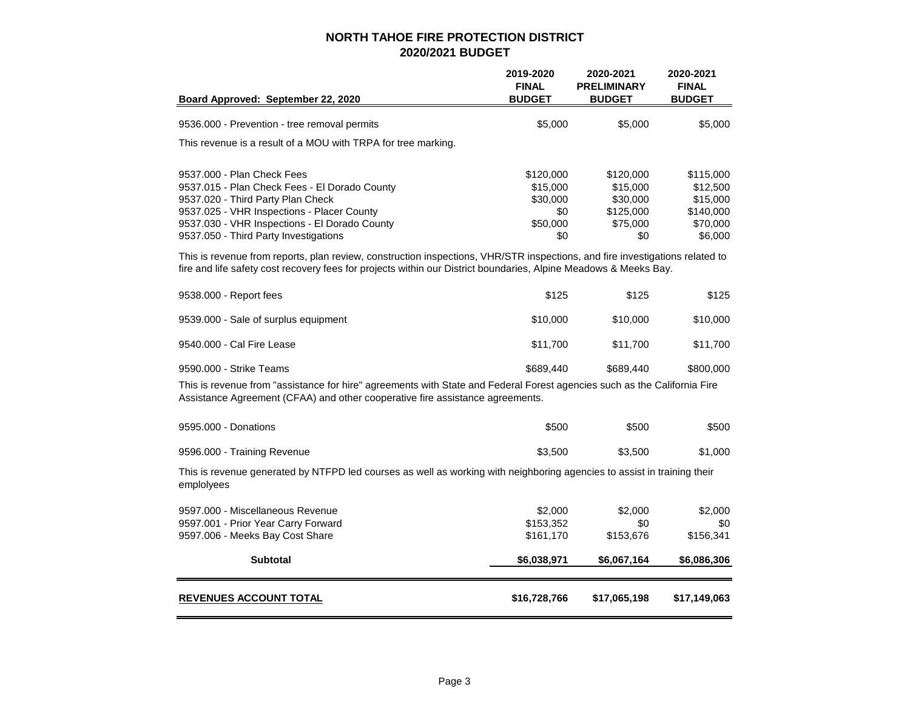|                                                                                                                                                                                                                                                  | 2019-2020<br><b>FINAL</b>                            | 2020-2021<br><b>PRELIMINARY</b>                            | 2020-2021<br><b>FINAL</b>                                  |
|--------------------------------------------------------------------------------------------------------------------------------------------------------------------------------------------------------------------------------------------------|------------------------------------------------------|------------------------------------------------------------|------------------------------------------------------------|
| Board Approved: September 22, 2020                                                                                                                                                                                                               | <b>BUDGET</b>                                        | <b>BUDGET</b>                                              | <b>BUDGET</b>                                              |
| 9536.000 - Prevention - tree removal permits                                                                                                                                                                                                     | \$5,000                                              | \$5,000                                                    | \$5,000                                                    |
| This revenue is a result of a MOU with TRPA for tree marking.                                                                                                                                                                                    |                                                      |                                                            |                                                            |
| 9537,000 - Plan Check Fees<br>9537.015 - Plan Check Fees - El Dorado County<br>9537.020 - Third Party Plan Check<br>9537.025 - VHR Inspections - Placer County<br>9537.030 - VHR Inspections - El Dorado County                                  | \$120,000<br>\$15,000<br>\$30,000<br>\$0<br>\$50,000 | \$120,000<br>\$15,000<br>\$30,000<br>\$125,000<br>\$75,000 | \$115,000<br>\$12,500<br>\$15,000<br>\$140,000<br>\$70,000 |
| 9537.050 - Third Party Investigations                                                                                                                                                                                                            | \$0                                                  | \$0                                                        | \$6,000                                                    |
| This is revenue from reports, plan review, construction inspections, VHR/STR inspections, and fire investigations related to<br>fire and life safety cost recovery fees for projects within our District boundaries, Alpine Meadows & Meeks Bay. |                                                      |                                                            |                                                            |
| 9538.000 - Report fees                                                                                                                                                                                                                           | \$125                                                | \$125                                                      | \$125                                                      |
| 9539.000 - Sale of surplus equipment                                                                                                                                                                                                             | \$10,000                                             | \$10,000                                                   | \$10,000                                                   |
| 9540,000 - Cal Fire Lease                                                                                                                                                                                                                        | \$11,700                                             | \$11,700                                                   | \$11,700                                                   |
| 9590.000 - Strike Teams                                                                                                                                                                                                                          | \$689,440                                            | \$689,440                                                  | \$800,000                                                  |
| This is revenue from "assistance for hire" agreements with State and Federal Forest agencies such as the California Fire<br>Assistance Agreement (CFAA) and other cooperative fire assistance agreements.                                        |                                                      |                                                            |                                                            |
| 9595,000 - Donations                                                                                                                                                                                                                             | \$500                                                | \$500                                                      | \$500                                                      |
| 9596.000 - Training Revenue                                                                                                                                                                                                                      | \$3,500                                              | \$3,500                                                    | \$1,000                                                    |
| This is revenue generated by NTFPD led courses as well as working with neighboring agencies to assist in training their<br>emplolyees                                                                                                            |                                                      |                                                            |                                                            |
| 9597.000 - Miscellaneous Revenue<br>9597.001 - Prior Year Carry Forward<br>9597.006 - Meeks Bay Cost Share                                                                                                                                       | \$2,000<br>\$153,352<br>\$161,170                    | \$2,000<br>\$0<br>\$153,676                                | \$2,000<br>\$0<br>\$156,341                                |
| <b>Subtotal</b>                                                                                                                                                                                                                                  | \$6,038,971                                          | \$6,067,164                                                | \$6,086,306                                                |
| <b>REVENUES ACCOUNT TOTAL</b>                                                                                                                                                                                                                    | \$16,728,766                                         | \$17,065,198                                               | \$17,149,063                                               |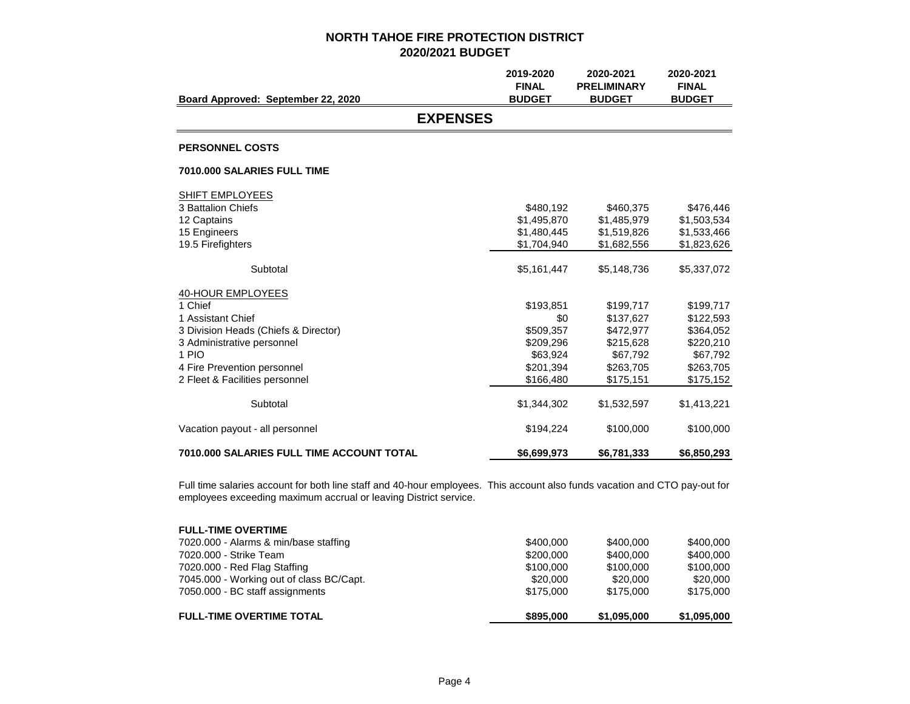|                                           | 2019-2020                     | 2020-2021          | 2020-2021                     |
|-------------------------------------------|-------------------------------|--------------------|-------------------------------|
|                                           | <b>FINAL</b><br><b>BUDGET</b> | <b>PRELIMINARY</b> | <b>FINAL</b><br><b>BUDGET</b> |
| Board Approved: September 22, 2020        |                               | <b>BUDGET</b>      |                               |
| <b>EXPENSES</b>                           |                               |                    |                               |
| <b>PERSONNEL COSTS</b>                    |                               |                    |                               |
| 7010.000 SALARIES FULL TIME               |                               |                    |                               |
| <b>SHIFT EMPLOYEES</b>                    |                               |                    |                               |
| 3 Battalion Chiefs                        | \$480,192                     | \$460,375          | \$476,446                     |
| 12 Captains                               | \$1,495,870                   | \$1,485,979        | \$1,503,534                   |
| 15 Engineers                              | \$1,480,445                   | \$1,519,826        | \$1,533,466                   |
| 19.5 Firefighters                         | \$1,704,940                   | \$1,682,556        | \$1,823,626                   |
| Subtotal                                  | \$5,161,447                   | \$5,148,736        | \$5,337,072                   |
| 40-HOUR EMPLOYEES                         |                               |                    |                               |
| 1 Chief                                   | \$193,851                     | \$199,717          | \$199,717                     |
| 1 Assistant Chief                         | \$0                           | \$137,627          | \$122,593                     |
| 3 Division Heads (Chiefs & Director)      | \$509.357                     | \$472,977          | \$364,052                     |
| 3 Administrative personnel                | \$209,296                     | \$215,628          | \$220,210                     |
| 1 PIO                                     | \$63.924                      | \$67,792           | \$67,792                      |
| 4 Fire Prevention personnel               | \$201,394                     | \$263,705          | \$263,705                     |
| 2 Fleet & Facilities personnel            | \$166,480                     | \$175,151          | \$175,152                     |
| Subtotal                                  | \$1,344,302                   | \$1,532,597        | \$1,413,221                   |
| Vacation payout - all personnel           | \$194,224                     | \$100,000          | \$100,000                     |
| 7010.000 SALARIES FULL TIME ACCOUNT TOTAL | \$6,699,973                   | \$6,781,333        | \$6,850,293                   |

Full time salaries account for both line staff and 40-hour employees. This account also funds vacation and CTO pay-out for employees exceeding maximum accrual or leaving District service.

| <b>FULL-TIME OVERTIME</b>                |           |             |             |
|------------------------------------------|-----------|-------------|-------------|
| 7020.000 - Alarms & min/base staffing    | \$400,000 | \$400,000   | \$400,000   |
| 7020,000 - Strike Team                   | \$200,000 | \$400.000   | \$400,000   |
| 7020.000 - Red Flag Staffing             | \$100,000 | \$100,000   | \$100,000   |
| 7045.000 - Working out of class BC/Capt. | \$20,000  | \$20,000    | \$20,000    |
| 7050.000 - BC staff assignments          | \$175,000 | \$175,000   | \$175,000   |
| <b>FULL-TIME OVERTIME TOTAL</b>          | \$895,000 | \$1,095,000 | \$1,095,000 |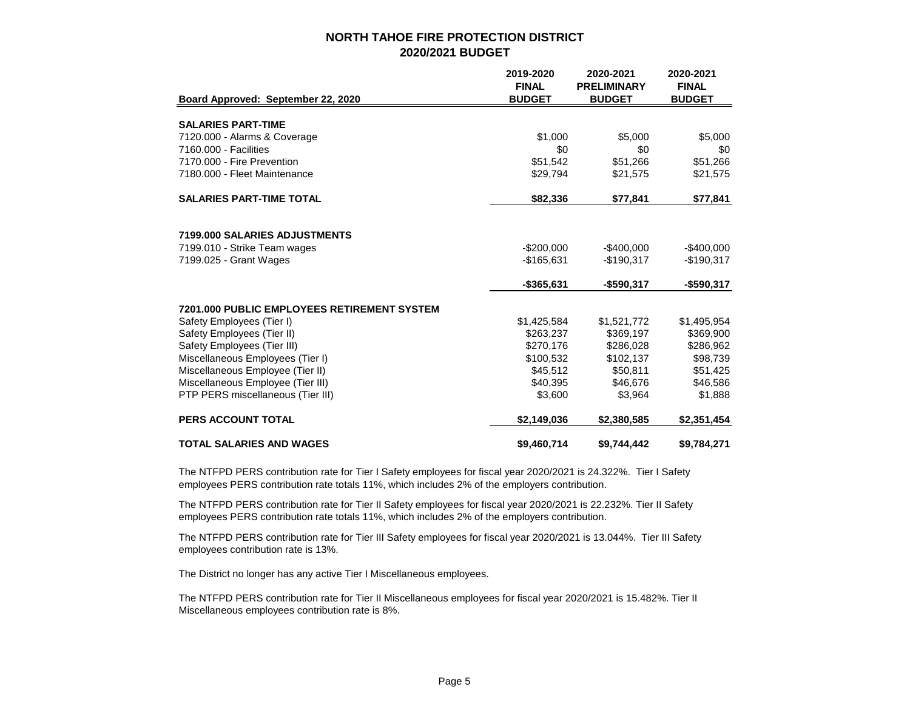|                                             | 2019-2020     | 2020-2021          | 2020-2021     |
|---------------------------------------------|---------------|--------------------|---------------|
|                                             | <b>FINAL</b>  | <b>PRELIMINARY</b> | <b>FINAL</b>  |
| Board Approved: September 22, 2020          | <b>BUDGET</b> | <b>BUDGET</b>      | <b>BUDGET</b> |
|                                             |               |                    |               |
| <b>SALARIES PART-TIME</b>                   |               |                    |               |
| 7120.000 - Alarms & Coverage                | \$1,000       | \$5,000            | \$5,000       |
| 7160,000 - Facilities                       | \$0           | \$0                | \$0           |
| 7170.000 - Fire Prevention                  | \$51,542      | \$51,266           | \$51,266      |
| 7180.000 - Fleet Maintenance                | \$29,794      | \$21,575           | \$21,575      |
| <b>SALARIES PART-TIME TOTAL</b>             | \$82,336      | \$77,841           | \$77,841      |
|                                             |               |                    |               |
| 7199.000 SALARIES ADJUSTMENTS               |               |                    |               |
| 7199.010 - Strike Team wages                | $-$200,000$   | $-$400,000$        | $-$400,000$   |
| 7199.025 - Grant Wages                      | $-$165,631$   | $-$190,317$        | $-$190,317$   |
|                                             | $-$365,631$   | $-$ \$590,317      | -\$590,317    |
| 7201.000 PUBLIC EMPLOYEES RETIREMENT SYSTEM |               |                    |               |
| Safety Employees (Tier I)                   | \$1,425,584   | \$1,521,772        | \$1,495,954   |
| Safety Employees (Tier II)                  | \$263,237     | \$369,197          | \$369,900     |
| Safety Employees (Tier III)                 | \$270,176     | \$286,028          | \$286,962     |
| Miscellaneous Employees (Tier I)            | \$100,532     | \$102,137          | \$98,739      |
| Miscellaneous Employee (Tier II)            | \$45,512      | \$50,811           | \$51,425      |
| Miscellaneous Employee (Tier III)           | \$40,395      | \$46,676           | \$46,586      |
| PTP PERS miscellaneous (Tier III)           | \$3,600       | \$3,964            | \$1,888       |
| <b>PERS ACCOUNT TOTAL</b>                   | \$2,149,036   | \$2,380,585        | \$2,351,454   |
| <b>TOTAL SALARIES AND WAGES</b>             | \$9,460,714   | \$9,744,442        | \$9,784,271   |

The NTFPD PERS contribution rate for Tier I Safety employees for fiscal year 2020/2021 is 24.322%. Tier I Safety employees PERS contribution rate totals 11%, which includes 2% of the employers contribution.

The NTFPD PERS contribution rate for Tier II Safety employees for fiscal year 2020/2021 is 22.232%. Tier II Safety employees PERS contribution rate totals 11%, which includes 2% of the employers contribution.

The NTFPD PERS contribution rate for Tier III Safety employees for fiscal year 2020/2021 is 13.044%. Tier III Safety employees contribution rate is 13%.

The District no longer has any active Tier I Miscellaneous employees.

The NTFPD PERS contribution rate for Tier II Miscellaneous employees for fiscal year 2020/2021 is 15.482%. Tier II Miscellaneous employees contribution rate is 8%.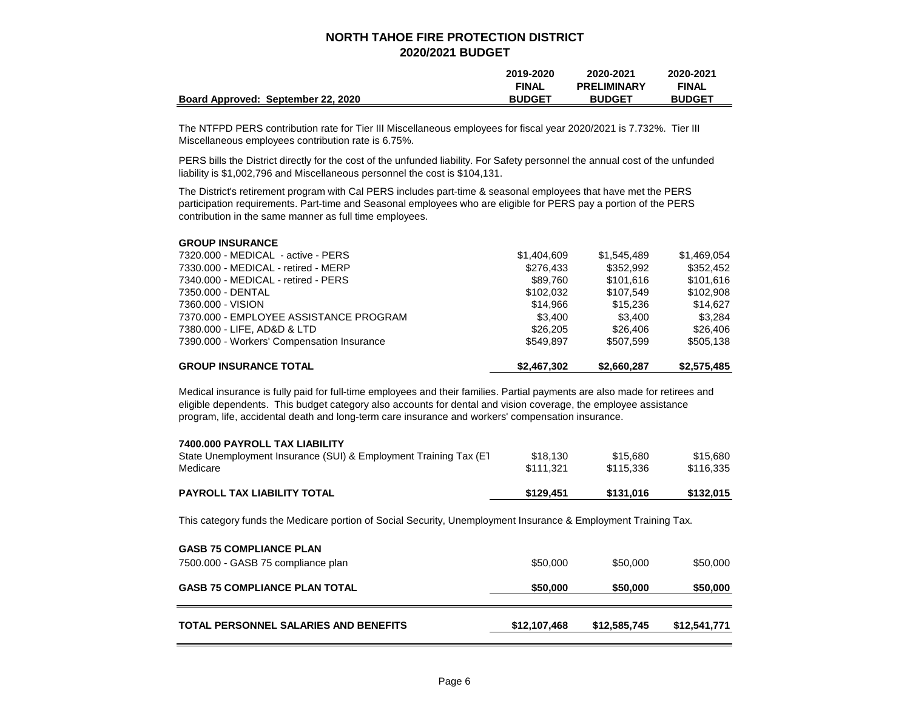|                                    | 2019-2020     | 2020-2021          | 2020-2021     |
|------------------------------------|---------------|--------------------|---------------|
|                                    | <b>FINAL</b>  | <b>PRELIMINARY</b> | <b>FINAL</b>  |
| Board Approved: September 22, 2020 | <b>BUDGET</b> | <b>BUDGET</b>      | <b>BUDGET</b> |

The NTFPD PERS contribution rate for Tier III Miscellaneous employees for fiscal year 2020/2021 is 7.732%. Tier III Miscellaneous employees contribution rate is 6.75%.

PERS bills the District directly for the cost of the unfunded liability. For Safety personnel the annual cost of the unfunded liability is \$1,002,796 and Miscellaneous personnel the cost is \$104,131.

The District's retirement program with Cal PERS includes part-time & seasonal employees that have met the PERS participation requirements. Part-time and Seasonal employees who are eligible for PERS pay a portion of the PERS contribution in the same manner as full time employees.

| <b>GROUP INSURANCE TOTAL</b>               | \$2,467,302 | \$2.660.287 | \$2,575,485 |
|--------------------------------------------|-------------|-------------|-------------|
| 7390.000 - Workers' Compensation Insurance | \$549.897   | \$507.599   | \$505.138   |
| 7380.000 - LIFE, AD&D & LTD                | \$26,205    | \$26,406    | \$26,406    |
| 7370.000 - EMPLOYEE ASSISTANCE PROGRAM     | \$3.400     | \$3.400     | \$3.284     |
| 7360.000 - VISION                          | \$14.966    | \$15,236    | \$14.627    |
| 7350.000 - DENTAL                          | \$102.032   | \$107.549   | \$102,908   |
| 7340.000 - MEDICAL - retired - PERS        | \$89.760    | \$101.616   | \$101,616   |
| 7330.000 - MEDICAL - retired - MERP        | \$276.433   | \$352,992   | \$352.452   |
| 7320.000 - MEDICAL - active - PERS         | \$1,404,609 | \$1,545,489 | \$1,469,054 |
| <b>GROUP INSURANCE</b>                     |             |             |             |

Medical insurance is fully paid for full-time employees and their families. Partial payments are also made for retirees and eligible dependents. This budget category also accounts for dental and vision coverage, the employee assistance program, life, accidental death and long-term care insurance and workers' compensation insurance.

| 7400,000 PAYROLL TAX LIABILITY                                    |           |           |           |
|-------------------------------------------------------------------|-----------|-----------|-----------|
| State Unemployment Insurance (SUI) & Employment Training Tax (E1) | \$18.130  | \$15,680  | \$15,680  |
| Medicare                                                          | \$111.321 | \$115.336 | \$116.335 |
| <b>PAYROLL TAX LIABILITY TOTAL</b>                                | \$129.451 | \$131.016 | \$132,015 |

This category funds the Medicare portion of Social Security, Unemployment Insurance & Employment Training Tax.

| <b>GASB 75 COMPLIANCE PLAN</b><br>7500.000 - GASB 75 compliance plan | \$50,000     | \$50,000     | \$50,000     |
|----------------------------------------------------------------------|--------------|--------------|--------------|
| <b>GASB 75 COMPLIANCE PLAN TOTAL</b>                                 | \$50,000     | \$50,000     | \$50,000     |
| <b>TOTAL PERSONNEL SALARIES AND BENEFITS</b>                         | \$12,107,468 | \$12,585,745 | \$12,541,771 |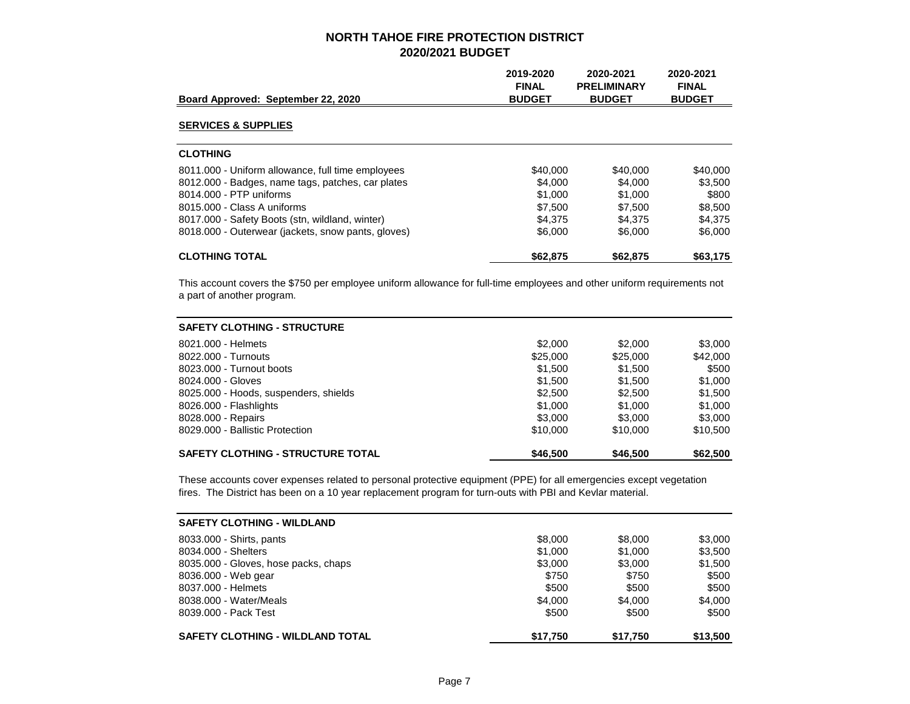|                                                    | 2019-2020<br><b>FINAL</b> | 2020-2021<br><b>PRELIMINARY</b> | 2020-2021<br><b>FINAL</b> |
|----------------------------------------------------|---------------------------|---------------------------------|---------------------------|
| Board Approved: September 22, 2020                 | <b>BUDGET</b>             | <b>BUDGET</b>                   | <b>BUDGET</b>             |
| <b>SERVICES &amp; SUPPLIES</b>                     |                           |                                 |                           |
| <b>CLOTHING</b>                                    |                           |                                 |                           |
| 8011.000 - Uniform allowance, full time employees  | \$40,000                  | \$40,000                        | \$40,000                  |
| 8012.000 - Badges, name tags, patches, car plates  | \$4.000                   | \$4,000                         | \$3,500                   |
| 8014.000 - PTP uniforms                            | \$1,000                   | \$1,000                         | \$800                     |
| 8015,000 - Class A uniforms                        | \$7.500                   | \$7.500                         | \$8,500                   |
| 8017.000 - Safety Boots (stn. wildland, winter)    | \$4.375                   | \$4.375                         | \$4,375                   |
| 8018.000 - Outerwear (jackets, snow pants, gloves) | \$6,000                   | \$6,000                         | \$6,000                   |
| <b>CLOTHING TOTAL</b>                              | \$62,875                  | \$62,875                        | \$63,175                  |

This account covers the \$750 per employee uniform allowance for full-time employees and other uniform requirements not a part of another program.

| <b>SAFETY CLOTHING - STRUCTURE</b>       |          |          |          |
|------------------------------------------|----------|----------|----------|
| 8021,000 - Helmets                       | \$2,000  | \$2,000  | \$3,000  |
| 8022.000 - Turnouts                      | \$25,000 | \$25,000 | \$42,000 |
| 8023.000 - Turnout boots                 | \$1.500  | \$1,500  | \$500    |
| 8024.000 - Gloves                        | \$1,500  | \$1,500  | \$1,000  |
| 8025.000 - Hoods, suspenders, shields    | \$2,500  | \$2,500  | \$1.500  |
| 8026.000 - Flashlights                   | \$1,000  | \$1,000  | \$1,000  |
| 8028.000 - Repairs                       | \$3,000  | \$3,000  | \$3,000  |
| 8029.000 - Ballistic Protection          | \$10,000 | \$10,000 | \$10,500 |
| <b>SAFETY CLOTHING - STRUCTURE TOTAL</b> | \$46,500 | \$46,500 | \$62,500 |

These accounts cover expenses related to personal protective equipment (PPE) for all emergencies except vegetation fires. The District has been on a 10 year replacement program for turn-outs with PBI and Kevlar material.

| <b>SAFETY CLOTHING - WILDLAND</b>       |          |          |          |
|-----------------------------------------|----------|----------|----------|
| 8033.000 - Shirts, pants                | \$8,000  | \$8,000  | \$3,000  |
| 8034.000 - Shelters                     | \$1,000  | \$1,000  | \$3,500  |
| 8035.000 - Gloves, hose packs, chaps    | \$3,000  | \$3,000  | \$1,500  |
| 8036.000 - Web gear                     | \$750    | \$750    | \$500    |
| 8037.000 - Helmets                      | \$500    | \$500    | \$500    |
| 8038,000 - Water/Meals                  | \$4.000  | \$4.000  | \$4.000  |
| 8039.000 - Pack Test                    | \$500    | \$500    | \$500    |
| <b>SAFETY CLOTHING - WILDLAND TOTAL</b> | \$17,750 | \$17.750 | \$13,500 |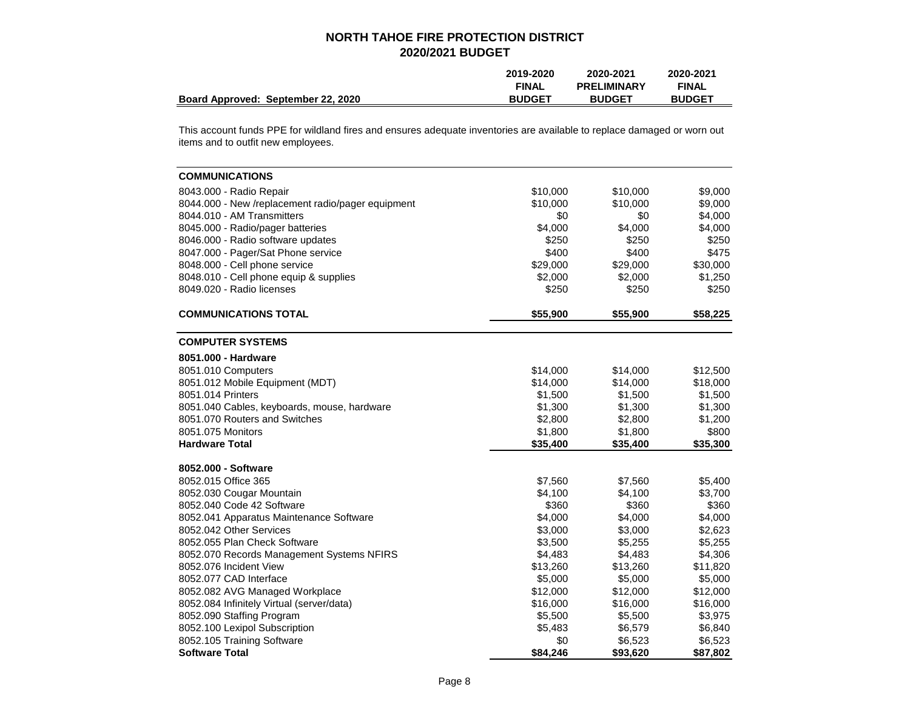|                                    | 2019-2020     | 2020-2021          | 2020-2021     |
|------------------------------------|---------------|--------------------|---------------|
|                                    | <b>FINAL</b>  | <b>PRELIMINARY</b> | <b>FINAL</b>  |
| Board Approved: September 22, 2020 | <b>BUDGET</b> | <b>BUDGET</b>      | <b>BUDGET</b> |

This account funds PPE for wildland fires and ensures adequate inventories are available to replace damaged or worn out items and to outfit new employees.

| <b>COMMUNICATIONS</b>                             |          |          |          |
|---------------------------------------------------|----------|----------|----------|
| 8043.000 - Radio Repair                           | \$10,000 | \$10,000 | \$9,000  |
| 8044.000 - New /replacement radio/pager equipment | \$10,000 | \$10,000 | \$9,000  |
| 8044.010 - AM Transmitters                        | \$0      | \$0      | \$4,000  |
| 8045.000 - Radio/pager batteries                  | \$4,000  | \$4,000  | \$4,000  |
| 8046.000 - Radio software updates                 | \$250    | \$250    | \$250    |
| 8047.000 - Pager/Sat Phone service                | \$400    | \$400    | \$475    |
| 8048.000 - Cell phone service                     | \$29,000 | \$29,000 | \$30,000 |
| 8048.010 - Cell phone equip & supplies            | \$2,000  | \$2,000  | \$1,250  |
| 8049.020 - Radio licenses                         | \$250    | \$250    | \$250    |
| <b>COMMUNICATIONS TOTAL</b>                       | \$55,900 | \$55,900 | \$58,225 |
| <b>COMPUTER SYSTEMS</b>                           |          |          |          |
| 8051.000 - Hardware                               |          |          |          |
| 8051.010 Computers                                | \$14,000 | \$14,000 | \$12,500 |
| 8051.012 Mobile Equipment (MDT)                   | \$14,000 | \$14,000 | \$18,000 |
| 8051.014 Printers                                 | \$1,500  | \$1,500  | \$1,500  |
| 8051.040 Cables, keyboards, mouse, hardware       | \$1,300  | \$1,300  | \$1,300  |
| 8051.070 Routers and Switches                     | \$2,800  | \$2,800  | \$1,200  |
| 8051.075 Monitors                                 | \$1,800  | \$1,800  | \$800    |
| <b>Hardware Total</b>                             | \$35,400 | \$35,400 | \$35,300 |
| 8052.000 - Software                               |          |          |          |
| 8052.015 Office 365                               | \$7,560  | \$7,560  | \$5,400  |
| 8052.030 Cougar Mountain                          | \$4,100  | \$4,100  | \$3,700  |
| 8052.040 Code 42 Software                         | \$360    | \$360    | \$360    |
| 8052.041 Apparatus Maintenance Software           | \$4,000  | \$4,000  | \$4,000  |
| 8052.042 Other Services                           | \$3,000  | \$3,000  | \$2,623  |
| 8052.055 Plan Check Software                      | \$3,500  | \$5,255  | \$5,255  |
| 8052.070 Records Management Systems NFIRS         | \$4,483  | \$4,483  | \$4,306  |
| 8052.076 Incident View                            | \$13,260 | \$13,260 | \$11,820 |
| 8052.077 CAD Interface                            | \$5,000  | \$5,000  | \$5,000  |
| 8052.082 AVG Managed Workplace                    | \$12,000 | \$12,000 | \$12,000 |
| 8052.084 Infinitely Virtual (server/data)         | \$16,000 | \$16,000 | \$16,000 |
| 8052.090 Staffing Program                         | \$5,500  | \$5,500  | \$3,975  |
| 8052.100 Lexipol Subscription                     | \$5,483  | \$6,579  | \$6,840  |
| 8052.105 Training Software                        | \$0      | \$6,523  | \$6,523  |
| <b>Software Total</b>                             | \$84,246 | \$93,620 | \$87,802 |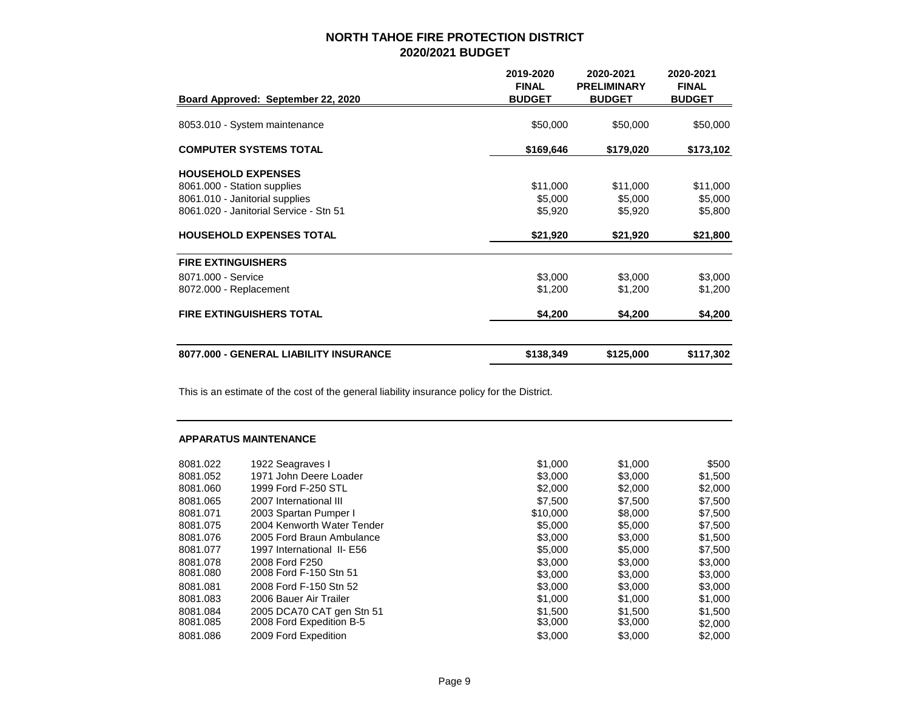| Board Approved: September 22, 2020     | 2019-2020<br><b>FINAL</b><br><b>BUDGET</b> | 2020-2021<br><b>PRELIMINARY</b><br><b>BUDGET</b> | 2020-2021<br><b>FINAL</b><br><b>BUDGET</b> |
|----------------------------------------|--------------------------------------------|--------------------------------------------------|--------------------------------------------|
| 8053.010 - System maintenance          | \$50,000                                   | \$50,000                                         | \$50,000                                   |
| <b>COMPUTER SYSTEMS TOTAL</b>          | \$169,646                                  | \$179,020                                        | \$173,102                                  |
| <b>HOUSEHOLD EXPENSES</b>              |                                            |                                                  |                                            |
| 8061.000 - Station supplies            | \$11,000                                   | \$11,000                                         | \$11,000                                   |
| 8061.010 - Janitorial supplies         | \$5,000                                    | \$5,000                                          | \$5,000                                    |
| 8061.020 - Janitorial Service - Stn 51 | \$5,920                                    | \$5,920                                          | \$5,800                                    |
| HOUSEHOLD EXPENSES TOTAL               | \$21,920                                   | \$21,920                                         | \$21,800                                   |
| <b>FIRE EXTINGUISHERS</b>              |                                            |                                                  |                                            |
| 8071.000 - Service                     | \$3,000                                    | \$3,000                                          | \$3,000                                    |
| 8072.000 - Replacement                 | \$1,200                                    | \$1,200                                          | \$1,200                                    |
| FIRE EXTINGUISHERS TOTAL               | \$4,200                                    | \$4,200                                          | \$4,200                                    |
| 8077.000 - GENERAL LIABILITY INSURANCE | \$138,349                                  | \$125,000                                        | \$117,302                                  |

This is an estimate of the cost of the general liability insurance policy for the District.

### **APPARATUS MAINTENANCE**

| 1922 Seagraves I           | \$1,000  | \$1,000 | \$500   |
|----------------------------|----------|---------|---------|
| 1971 John Deere Loader     | \$3,000  | \$3,000 | \$1,500 |
| 1999 Ford F-250 STL        | \$2,000  | \$2,000 | \$2,000 |
| 2007 International III     | \$7,500  | \$7,500 | \$7,500 |
| 2003 Spartan Pumper I      | \$10,000 | \$8,000 | \$7,500 |
| 2004 Kenworth Water Tender | \$5,000  | \$5,000 | \$7,500 |
| 2005 Ford Braun Ambulance  | \$3,000  | \$3,000 | \$1,500 |
| 1997 International II- E56 | \$5,000  | \$5,000 | \$7,500 |
| 2008 Ford F250             | \$3,000  | \$3,000 | \$3,000 |
| 2008 Ford F-150 Stn 51     | \$3,000  | \$3,000 | \$3,000 |
| 2008 Ford F-150 Stn 52     | \$3,000  | \$3,000 | \$3,000 |
| 2006 Bauer Air Trailer     | \$1,000  | \$1,000 | \$1,000 |
| 2005 DCA70 CAT gen Stn 51  | \$1,500  | \$1,500 | \$1,500 |
| 2008 Ford Expedition B-5   | \$3,000  | \$3,000 | \$2,000 |
| 2009 Ford Expedition       | \$3,000  | \$3,000 | \$2,000 |
|                            |          |         |         |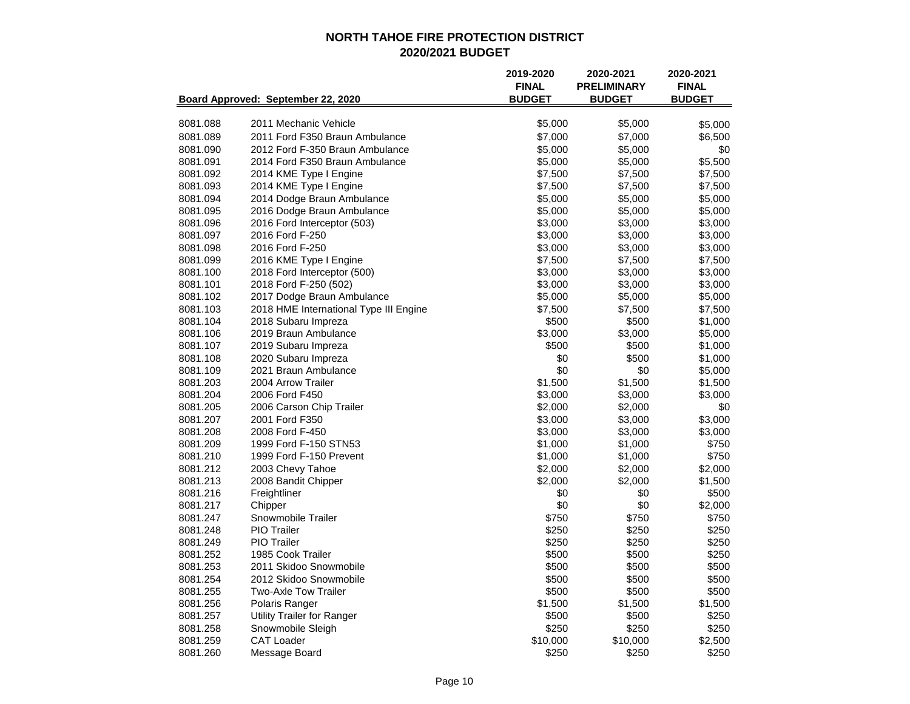|          |                                        | 2019-2020<br><b>FINAL</b> | 2020-2021<br><b>PRELIMINARY</b> | 2020-2021<br><b>FINAL</b> |
|----------|----------------------------------------|---------------------------|---------------------------------|---------------------------|
|          | Board Approved: September 22, 2020     | <b>BUDGET</b>             | <b>BUDGET</b>                   | <b>BUDGET</b>             |
| 8081.088 | 2011 Mechanic Vehicle                  | \$5,000                   | \$5,000                         | \$5,000                   |
| 8081.089 | 2011 Ford F350 Braun Ambulance         | \$7,000                   | \$7,000                         | \$6,500                   |
| 8081.090 | 2012 Ford F-350 Braun Ambulance        | \$5,000                   | \$5,000                         | \$0                       |
| 8081.091 | 2014 Ford F350 Braun Ambulance         | \$5,000                   | \$5,000                         | \$5,500                   |
| 8081.092 | 2014 KME Type I Engine                 | \$7,500                   | \$7,500                         | \$7,500                   |
| 8081.093 | 2014 KME Type I Engine                 | \$7,500                   | \$7,500                         | \$7,500                   |
| 8081.094 | 2014 Dodge Braun Ambulance             | \$5,000                   | \$5,000                         | \$5,000                   |
| 8081.095 | 2016 Dodge Braun Ambulance             | \$5,000                   | \$5,000                         | \$5,000                   |
| 8081.096 | 2016 Ford Interceptor (503)            | \$3,000                   | \$3,000                         | \$3,000                   |
| 8081.097 | 2016 Ford F-250                        | \$3,000                   | \$3,000                         | \$3,000                   |
| 8081.098 | 2016 Ford F-250                        | \$3,000                   | \$3,000                         | \$3,000                   |
| 8081.099 | 2016 KME Type I Engine                 | \$7,500                   | \$7,500                         | \$7,500                   |
| 8081.100 | 2018 Ford Interceptor (500)            | \$3,000                   | \$3,000                         | \$3,000                   |
| 8081.101 | 2018 Ford F-250 (502)                  | \$3,000                   | \$3,000                         | \$3,000                   |
| 8081.102 | 2017 Dodge Braun Ambulance             | \$5,000                   | \$5,000                         | \$5,000                   |
| 8081.103 | 2018 HME International Type III Engine | \$7,500                   | \$7,500                         | \$7,500                   |
| 8081.104 | 2018 Subaru Impreza                    | \$500                     | \$500                           | \$1,000                   |
| 8081.106 | 2019 Braun Ambulance                   | \$3,000                   | \$3,000                         | \$5,000                   |
| 8081.107 | 2019 Subaru Impreza                    | \$500                     | \$500                           | \$1,000                   |
| 8081.108 | 2020 Subaru Impreza                    | \$0                       | \$500                           | \$1,000                   |
| 8081.109 | 2021 Braun Ambulance                   | \$0                       | \$0                             | \$5,000                   |
| 8081.203 | 2004 Arrow Trailer                     | \$1,500                   | \$1,500                         | \$1,500                   |
| 8081.204 | 2006 Ford F450                         | \$3,000                   | \$3,000                         | \$3,000                   |
| 8081.205 | 2006 Carson Chip Trailer               | \$2,000                   | \$2,000                         | \$0                       |
| 8081.207 | 2001 Ford F350                         | \$3,000                   | \$3,000                         | \$3,000                   |
| 8081.208 | 2008 Ford F-450                        | \$3,000                   | \$3,000                         | \$3,000                   |
| 8081.209 | 1999 Ford F-150 STN53                  | \$1,000                   | \$1,000                         | \$750                     |
| 8081.210 | 1999 Ford F-150 Prevent                | \$1,000                   | \$1,000                         | \$750                     |
| 8081.212 | 2003 Chevy Tahoe                       | \$2,000                   | \$2,000                         | \$2,000                   |
| 8081.213 | 2008 Bandit Chipper                    | \$2,000                   | \$2,000                         | \$1,500                   |
| 8081.216 | Freightliner                           | \$0                       | \$0                             | \$500                     |
| 8081.217 | Chipper                                | \$0                       | \$0                             | \$2,000                   |
| 8081.247 | Snowmobile Trailer                     | \$750                     | \$750                           | \$750                     |
| 8081.248 | <b>PIO Trailer</b>                     | \$250                     | \$250                           | \$250                     |
| 8081.249 | <b>PIO</b> Trailer                     | \$250                     | \$250                           | \$250                     |
| 8081.252 | 1985 Cook Trailer                      | \$500                     | \$500                           | \$250                     |
| 8081.253 | 2011 Skidoo Snowmobile                 | \$500                     | \$500                           | \$500                     |
| 8081.254 | 2012 Skidoo Snowmobile                 | \$500                     | \$500                           | \$500                     |
| 8081.255 | <b>Two-Axle Tow Trailer</b>            | \$500                     | \$500                           | \$500                     |
| 8081.256 | Polaris Ranger                         | \$1,500                   | \$1,500                         | \$1,500                   |
| 8081.257 | Utility Trailer for Ranger             | \$500                     | \$500                           | \$250                     |
| 8081.258 | Snowmobile Sleigh                      | \$250                     | \$250                           | \$250                     |
| 8081.259 | <b>CAT Loader</b>                      | \$10,000                  | \$10,000                        | \$2,500                   |
| 8081.260 | Message Board                          | \$250                     | \$250                           | \$250                     |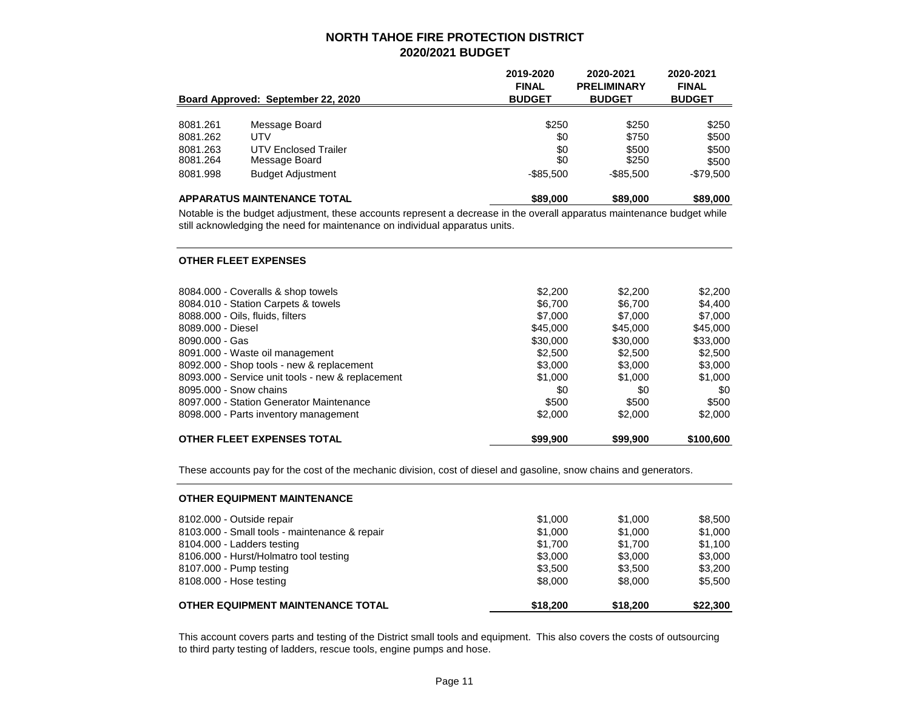|          | Board Approved: September 22, 2020 | 2019-2020<br><b>FINAL</b><br><b>BUDGET</b> | 2020-2021<br><b>PRELIMINARY</b><br><b>BUDGET</b> | 2020-2021<br><b>FINAL</b><br><b>BUDGET</b> |
|----------|------------------------------------|--------------------------------------------|--------------------------------------------------|--------------------------------------------|
| 8081.261 | Message Board                      | \$250                                      | \$250                                            | \$250                                      |
| 8081.262 | <b>UTV</b>                         | \$0                                        | \$750                                            | \$500                                      |
| 8081.263 | UTV Enclosed Trailer               | \$0                                        | \$500                                            | \$500                                      |
| 8081.264 | Message Board                      | \$0                                        | \$250                                            | \$500                                      |
| 8081.998 | <b>Budget Adjustment</b>           | $-$ \$85,500                               | -\$85.500                                        | -\$79,500                                  |
|          | <b>APPARATUS MAINTENANCE TOTAL</b> | \$89,000                                   | \$89,000                                         | \$89,000                                   |

Notable is the budget adjustment, these accounts represent a decrease in the overall apparatus maintenance budget while still acknowledging the need for maintenance on individual apparatus units.

#### **OTHER FLEET EXPENSES**

| <b>OTHER FLEET EXPENSES TOTAL</b>                 | \$99,900 | \$99,900 | \$100,600 |
|---------------------------------------------------|----------|----------|-----------|
| 8098.000 - Parts inventory management             | \$2,000  | \$2,000  | \$2,000   |
| 8097.000 - Station Generator Maintenance          | \$500    | \$500    | \$500     |
| 8095,000 - Snow chains                            | \$0      | \$0      | \$0       |
| 8093.000 - Service unit tools - new & replacement | \$1,000  | \$1,000  | \$1,000   |
| 8092.000 - Shop tools - new & replacement         | \$3,000  | \$3,000  | \$3,000   |
| 8091.000 - Waste oil management                   | \$2,500  | \$2,500  | \$2,500   |
| $8090.000 - Gas$                                  | \$30,000 | \$30,000 | \$33,000  |
| 8089.000 - Diesel                                 | \$45,000 | \$45,000 | \$45,000  |
| 8088.000 - Oils, fluids, filters                  | \$7,000  | \$7,000  | \$7,000   |
| 8084.010 - Station Carpets & towels               | \$6,700  | \$6.700  | \$4,400   |
| 8084.000 - Coveralls & shop towels                | \$2,200  | \$2.200  | \$2,200   |
|                                                   |          |          |           |

These accounts pay for the cost of the mechanic division, cost of diesel and gasoline, snow chains and generators.

| <b>OTHER EQUIPMENT MAINTENANCE</b>            |          |          |          |
|-----------------------------------------------|----------|----------|----------|
| 8102.000 - Outside repair                     | \$1,000  | \$1,000  | \$8,500  |
| 8103.000 - Small tools - maintenance & repair | \$1,000  | \$1,000  | \$1,000  |
| 8104.000 - Ladders testing                    | \$1.700  | \$1.700  | \$1.100  |
| 8106.000 - Hurst/Holmatro tool testing        | \$3,000  | \$3,000  | \$3,000  |
| 8107.000 - Pump testing                       | \$3.500  | \$3.500  | \$3,200  |
| 8108.000 - Hose testing                       | \$8,000  | \$8,000  | \$5.500  |
| OTHER EQUIPMENT MAINTENANCE TOTAL             | \$18,200 | \$18,200 | \$22,300 |

This account covers parts and testing of the District small tools and equipment. This also covers the costs of outsourcing to third party testing of ladders, rescue tools, engine pumps and hose.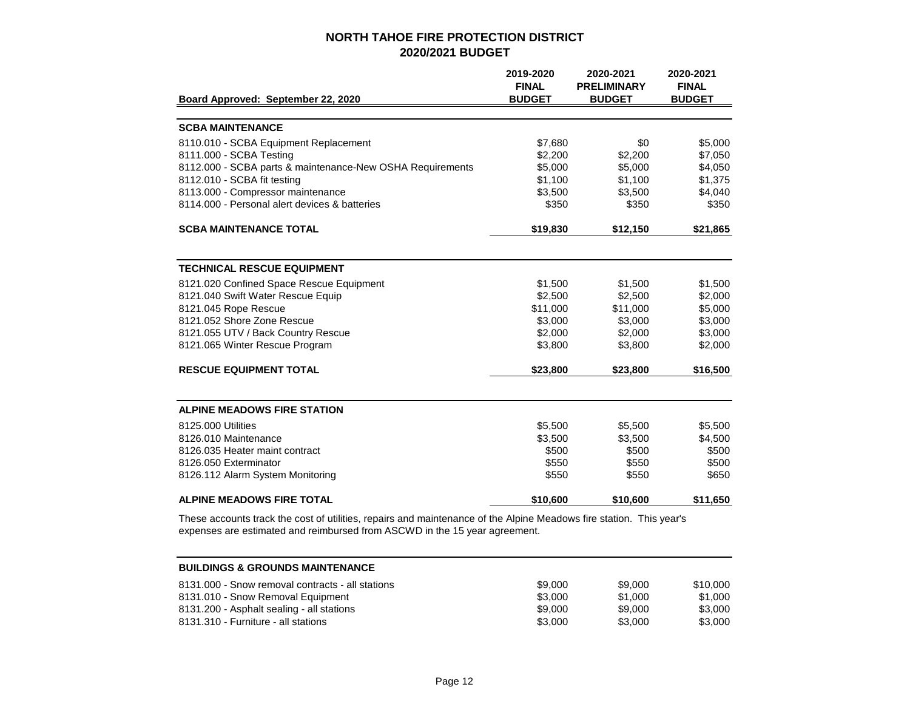|                                                           | 2019-2020<br><b>FINAL</b> | 2020-2021<br><b>PRELIMINARY</b> | 2020-2021<br><b>FINAL</b> |
|-----------------------------------------------------------|---------------------------|---------------------------------|---------------------------|
| Board Approved: September 22, 2020                        | <b>BUDGET</b>             | <b>BUDGET</b>                   | <b>BUDGET</b>             |
|                                                           |                           |                                 |                           |
| <b>SCBA MAINTENANCE</b>                                   |                           |                                 |                           |
| 8110.010 - SCBA Equipment Replacement                     | \$7,680                   | \$0                             | \$5,000                   |
| 8111.000 - SCBA Testing                                   | \$2,200                   | \$2,200                         | \$7,050                   |
| 8112.000 - SCBA parts & maintenance-New OSHA Requirements | \$5,000                   | \$5,000                         | \$4,050                   |
| 8112.010 - SCBA fit testing                               | \$1,100                   | \$1,100                         | \$1,375                   |
| 8113.000 - Compressor maintenance                         | \$3,500                   | \$3,500                         | \$4,040                   |
| 8114.000 - Personal alert devices & batteries             | \$350                     | \$350                           | \$350                     |
| <b>SCBA MAINTENANCE TOTAL</b>                             | \$19,830                  | \$12,150                        | \$21,865                  |
|                                                           |                           |                                 |                           |
| <b>TECHNICAL RESCUE EQUIPMENT</b>                         |                           |                                 |                           |
| 8121.020 Confined Space Rescue Equipment                  | \$1,500                   | \$1,500                         | \$1,500                   |
| 8121.040 Swift Water Rescue Equip                         | \$2,500                   | \$2,500                         | \$2,000                   |
| 8121.045 Rope Rescue                                      | \$11,000                  | \$11,000                        | \$5,000                   |
| 8121.052 Shore Zone Rescue                                | \$3,000                   | \$3,000                         | \$3,000                   |
| 8121.055 UTV / Back Country Rescue                        | \$2,000                   | \$2,000                         | \$3,000                   |
| 8121.065 Winter Rescue Program                            | \$3,800                   | \$3,800                         | \$2,000                   |
| <b>RESCUE EQUIPMENT TOTAL</b>                             | \$23,800                  | \$23,800                        | \$16,500                  |
|                                                           |                           |                                 |                           |
| <b>ALPINE MEADOWS FIRE STATION</b>                        |                           |                                 |                           |
| 8125,000 Utilities                                        | \$5,500                   | \$5,500                         | \$5,500                   |
| 8126.010 Maintenance                                      | \$3,500                   | \$3,500                         | \$4,500                   |
| 8126.035 Heater maint contract                            | \$500                     | \$500                           | \$500                     |
| 8126.050 Exterminator                                     | \$550                     | \$550                           | \$500                     |
| 8126.112 Alarm System Monitoring                          | \$550                     | \$550                           | \$650                     |
| <b>ALPINE MEADOWS FIRE TOTAL</b>                          | \$10,600                  | \$10,600                        | \$11,650                  |

These accounts track the cost of utilities, repairs and maintenance of the Alpine Meadows fire station. This year's expenses are estimated and reimbursed from ASCWD in the 15 year agreement.

| <b>BUILDINGS &amp; GROUNDS MAINTENANCE</b>       |         |         |          |
|--------------------------------------------------|---------|---------|----------|
| 8131,000 - Snow removal contracts - all stations | \$9,000 | \$9.000 | \$10.000 |
| 8131.010 - Snow Removal Equipment                | \$3,000 | \$1.000 | \$1,000  |
| 8131.200 - Asphalt sealing - all stations        | \$9,000 | \$9.000 | \$3,000  |
| 8131.310 - Furniture - all stations              | \$3,000 | \$3,000 | \$3,000  |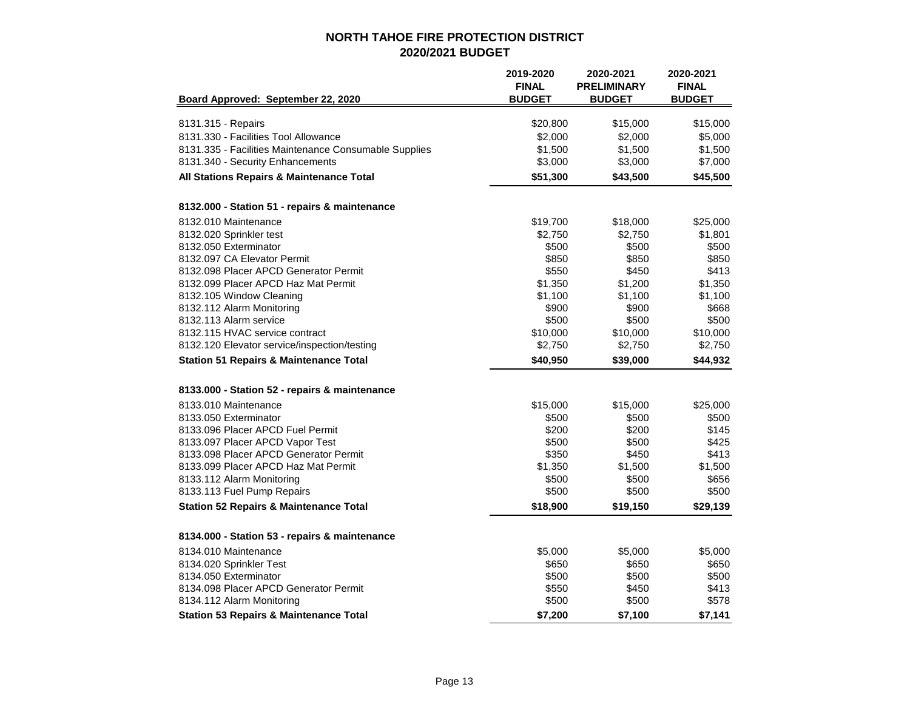|                                                       | 2019-2020<br><b>FINAL</b> | 2020-2021<br><b>PRELIMINARY</b> | 2020-2021<br><b>FINAL</b> |
|-------------------------------------------------------|---------------------------|---------------------------------|---------------------------|
| Board Approved: September 22, 2020                    | <b>BUDGET</b>             | <b>BUDGET</b>                   | <b>BUDGET</b>             |
| 8131.315 - Repairs                                    | \$20,800                  | \$15,000                        | \$15,000                  |
| 8131.330 - Facilities Tool Allowance                  | \$2,000                   | \$2,000                         | \$5,000                   |
| 8131.335 - Facilities Maintenance Consumable Supplies | \$1,500                   | \$1,500                         | \$1,500                   |
| 8131.340 - Security Enhancements                      | \$3,000                   | \$3,000                         | \$7,000                   |
| All Stations Repairs & Maintenance Total              | \$51,300                  | \$43,500                        | \$45,500                  |
| 8132.000 - Station 51 - repairs & maintenance         |                           |                                 |                           |
| 8132.010 Maintenance                                  | \$19,700                  | \$18,000                        | \$25,000                  |
| 8132.020 Sprinkler test                               | \$2,750                   | \$2,750                         | \$1,801                   |
| 8132.050 Exterminator                                 | \$500                     | \$500                           | \$500                     |
| 8132.097 CA Elevator Permit                           | \$850                     | \$850                           | \$850                     |
| 8132.098 Placer APCD Generator Permit                 | \$550                     | \$450                           | \$413                     |
| 8132.099 Placer APCD Haz Mat Permit                   | \$1,350                   | \$1,200                         | \$1,350                   |
| 8132.105 Window Cleaning                              | \$1,100                   | \$1,100                         | \$1,100                   |
| 8132.112 Alarm Monitoring                             | \$900                     | \$900                           | \$668                     |
| 8132.113 Alarm service                                | \$500                     | \$500                           | \$500                     |
| 8132.115 HVAC service contract                        | \$10,000                  | \$10,000                        | \$10,000                  |
| 8132.120 Elevator service/inspection/testing          | \$2,750                   | \$2,750                         | \$2,750                   |
| <b>Station 51 Repairs &amp; Maintenance Total</b>     | \$40,950                  | \$39,000                        | \$44,932                  |
| 8133.000 - Station 52 - repairs & maintenance         |                           |                                 |                           |
| 8133.010 Maintenance                                  | \$15,000                  | \$15,000                        | \$25,000                  |
| 8133.050 Exterminator                                 | \$500                     | \$500                           | \$500                     |
| 8133.096 Placer APCD Fuel Permit                      | \$200                     | \$200                           | \$145                     |
| 8133.097 Placer APCD Vapor Test                       | \$500                     | \$500                           | \$425                     |
| 8133.098 Placer APCD Generator Permit                 | \$350                     | \$450                           | \$413                     |
| 8133.099 Placer APCD Haz Mat Permit                   | \$1,350                   | \$1,500                         | \$1,500                   |
| 8133.112 Alarm Monitoring                             | \$500                     | \$500                           | \$656                     |
| 8133.113 Fuel Pump Repairs                            | \$500                     | \$500                           | \$500                     |
| <b>Station 52 Repairs &amp; Maintenance Total</b>     | \$18,900                  | \$19,150                        | \$29,139                  |
| 8134.000 - Station 53 - repairs & maintenance         |                           |                                 |                           |
| 8134.010 Maintenance                                  | \$5,000                   | \$5,000                         | \$5,000                   |
| 8134.020 Sprinkler Test                               | \$650                     | \$650                           | \$650                     |
| 8134.050 Exterminator                                 | \$500                     | \$500                           | \$500                     |
| 8134.098 Placer APCD Generator Permit                 | \$550                     | \$450                           | \$413                     |
| 8134.112 Alarm Monitoring                             | \$500                     | \$500                           | \$578                     |
| <b>Station 53 Repairs &amp; Maintenance Total</b>     | \$7,200                   | \$7,100                         | \$7,141                   |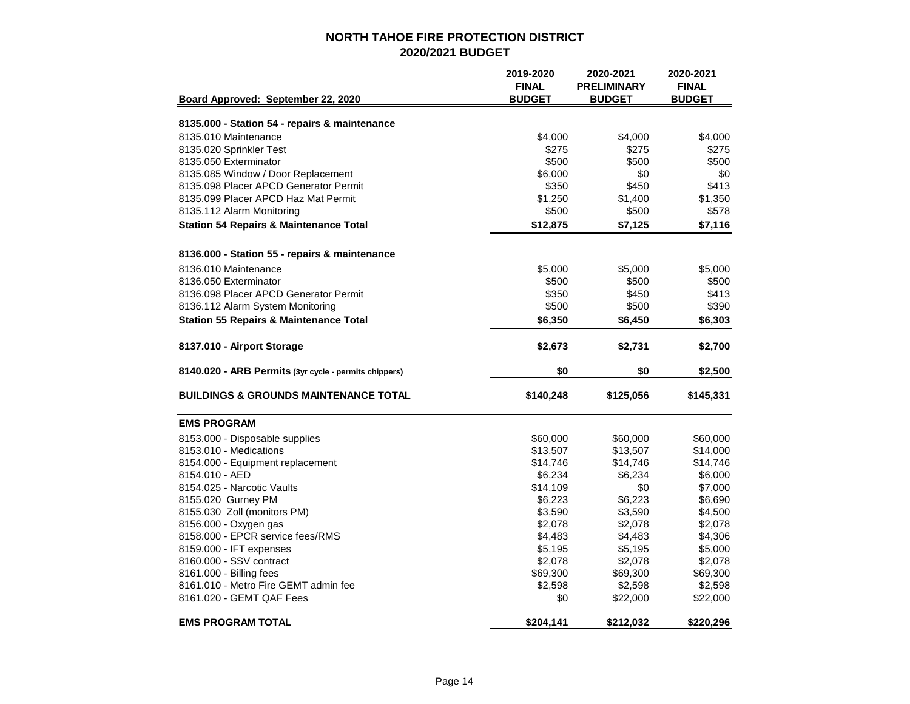|                                                       | 2019-2020<br><b>FINAL</b> | 2020-2021<br><b>PRELIMINARY</b> | 2020-2021<br><b>FINAL</b> |
|-------------------------------------------------------|---------------------------|---------------------------------|---------------------------|
| Board Approved: September 22, 2020                    | <b>BUDGET</b>             | <b>BUDGET</b>                   | <b>BUDGET</b>             |
| 8135.000 - Station 54 - repairs & maintenance         |                           |                                 |                           |
| 8135.010 Maintenance                                  | \$4,000                   | \$4,000                         | \$4,000                   |
| 8135.020 Sprinkler Test                               | \$275                     | \$275                           | \$275                     |
| 8135.050 Exterminator                                 | \$500                     | \$500                           | \$500                     |
| 8135.085 Window / Door Replacement                    | \$6,000                   | \$0                             | \$0                       |
| 8135.098 Placer APCD Generator Permit                 | \$350                     | \$450                           | \$413                     |
| 8135.099 Placer APCD Haz Mat Permit                   | \$1,250                   | \$1,400                         | \$1,350                   |
| 8135.112 Alarm Monitoring                             | \$500                     | \$500                           | \$578                     |
| <b>Station 54 Repairs &amp; Maintenance Total</b>     | \$12,875                  | \$7,125                         | \$7,116                   |
| 8136.000 - Station 55 - repairs & maintenance         |                           |                                 |                           |
| 8136.010 Maintenance                                  | \$5,000                   | \$5,000                         | \$5,000                   |
| 8136.050 Exterminator                                 | \$500                     | \$500                           | \$500                     |
| 8136.098 Placer APCD Generator Permit                 | \$350                     | \$450                           | \$413                     |
| 8136.112 Alarm System Monitoring                      | \$500                     | \$500                           | \$390                     |
| <b>Station 55 Repairs &amp; Maintenance Total</b>     | \$6,350                   | \$6,450                         | \$6,303                   |
| 8137.010 - Airport Storage                            | \$2,673                   | \$2,731                         | \$2,700                   |
|                                                       |                           |                                 |                           |
| 8140.020 - ARB Permits (3yr cycle - permits chippers) | \$0                       | \$0                             | \$2,500                   |
| <b>BUILDINGS &amp; GROUNDS MAINTENANCE TOTAL</b>      | \$140,248                 | \$125,056                       | \$145,331                 |
| <b>EMS PROGRAM</b>                                    |                           |                                 |                           |
| 8153.000 - Disposable supplies                        | \$60,000                  | \$60,000                        | \$60,000                  |
| 8153.010 - Medications                                | \$13,507                  | \$13,507                        | \$14,000                  |
| 8154.000 - Equipment replacement                      | \$14,746                  | \$14,746                        | \$14,746                  |
| 8154.010 - AED                                        | \$6,234                   | \$6,234                         | \$6,000                   |
| 8154.025 - Narcotic Vaults                            | \$14,109                  | \$0                             | \$7,000                   |
| 8155.020 Gurney PM                                    | \$6,223                   | \$6,223                         | \$6,690                   |
| 8155.030 Zoll (monitors PM)                           | \$3,590                   | \$3,590                         | \$4,500                   |
| 8156.000 - Oxygen gas                                 | \$2,078                   | \$2,078                         | \$2,078                   |
| 8158.000 - EPCR service fees/RMS                      | \$4,483                   | \$4,483                         | \$4,306                   |
| 8159.000 - IFT expenses                               | \$5,195                   | \$5,195                         | \$5,000                   |
| 8160,000 - SSV contract                               | \$2,078                   | \$2,078                         | \$2,078                   |
| 8161.000 - Billing fees                               | \$69,300                  | \$69,300                        | \$69,300                  |
| 8161.010 - Metro Fire GEMT admin fee                  | \$2,598                   | \$2,598                         | \$2,598                   |
| 8161.020 - GEMT QAF Fees                              | \$0                       | \$22,000                        | \$22,000                  |
| <b>EMS PROGRAM TOTAL</b>                              | \$204,141                 | \$212,032                       | \$220,296                 |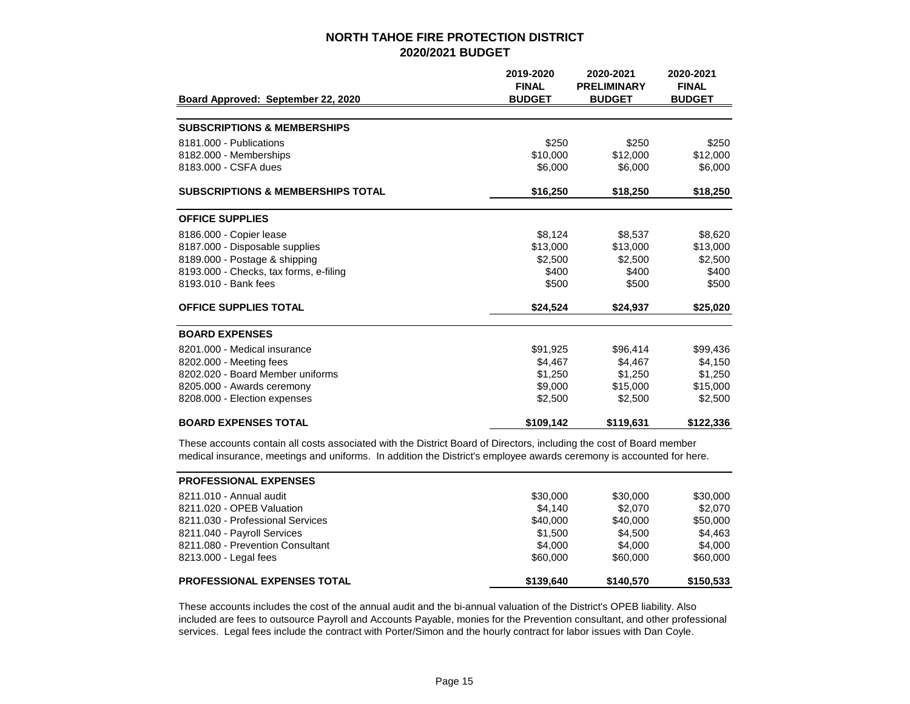|                                              | 2019-2020<br><b>FINAL</b> | 2020-2021<br><b>PRELIMINARY</b> | 2020-2021<br><b>FINAL</b> |
|----------------------------------------------|---------------------------|---------------------------------|---------------------------|
| Board Approved: September 22, 2020           | <b>BUDGET</b>             | <b>BUDGET</b>                   | <b>BUDGET</b>             |
|                                              |                           |                                 |                           |
| <b>SUBSCRIPTIONS &amp; MEMBERSHIPS</b>       |                           |                                 |                           |
| 8181.000 - Publications                      | \$250                     | \$250                           | \$250                     |
| 8182.000 - Memberships                       | \$10,000                  | \$12,000                        | \$12,000                  |
| 8183.000 - CSFA dues                         | \$6,000                   | \$6,000                         | \$6,000                   |
| <b>SUBSCRIPTIONS &amp; MEMBERSHIPS TOTAL</b> | \$16,250                  | \$18,250                        | \$18,250                  |
| <b>OFFICE SUPPLIES</b>                       |                           |                                 |                           |
| 8186.000 - Copier lease                      | \$8,124                   | \$8.537                         | \$8,620                   |
| 8187.000 - Disposable supplies               | \$13,000                  | \$13,000                        | \$13,000                  |
| 8189.000 - Postage & shipping                | \$2,500                   | \$2.500                         | \$2,500                   |
| 8193.000 - Checks, tax forms, e-filing       | \$400                     | \$400                           | \$400                     |
| 8193.010 - Bank fees                         | \$500                     | \$500                           | \$500                     |
| <b>OFFICE SUPPLIES TOTAL</b>                 | \$24,524                  | \$24,937                        | \$25,020                  |
| <b>BOARD EXPENSES</b>                        |                           |                                 |                           |
| 8201.000 - Medical insurance                 | \$91,925                  | \$96,414                        | \$99,436                  |
| 8202.000 - Meeting fees                      | \$4.467                   | \$4,467                         | \$4.150                   |
| 8202.020 - Board Member uniforms             | \$1,250                   | \$1,250                         | \$1,250                   |
| 8205.000 - Awards ceremony                   | \$9,000                   | \$15,000                        | \$15,000                  |
| 8208.000 - Election expenses                 | \$2,500                   | \$2,500                         | \$2,500                   |
| <b>BOARD EXPENSES TOTAL</b>                  | \$109,142                 | \$119,631                       | \$122,336                 |

These accounts contain all costs associated with the District Board of Directors, including the cost of Board member medical insurance, meetings and uniforms. In addition the District's employee awards ceremony is accounted for here.

| <b>PROFESSIONAL EXPENSES</b>       |           |           |           |
|------------------------------------|-----------|-----------|-----------|
| 8211.010 - Annual audit            | \$30,000  | \$30,000  | \$30,000  |
| 8211.020 - OPEB Valuation          | \$4.140   | \$2.070   | \$2.070   |
| 8211.030 - Professional Services   | \$40,000  | \$40,000  | \$50,000  |
| 8211.040 - Payroll Services        | \$1,500   | \$4.500   | \$4,463   |
| 8211,080 - Prevention Consultant   | \$4,000   | \$4,000   | \$4,000   |
| 8213.000 - Legal fees              | \$60,000  | \$60,000  | \$60,000  |
| <b>PROFESSIONAL EXPENSES TOTAL</b> | \$139.640 | \$140,570 | \$150,533 |

These accounts includes the cost of the annual audit and the bi-annual valuation of the District's OPEB liability. Also included are fees to outsource Payroll and Accounts Payable, monies for the Prevention consultant, and other professional services. Legal fees include the contract with Porter/Simon and the hourly contract for labor issues with Dan Coyle.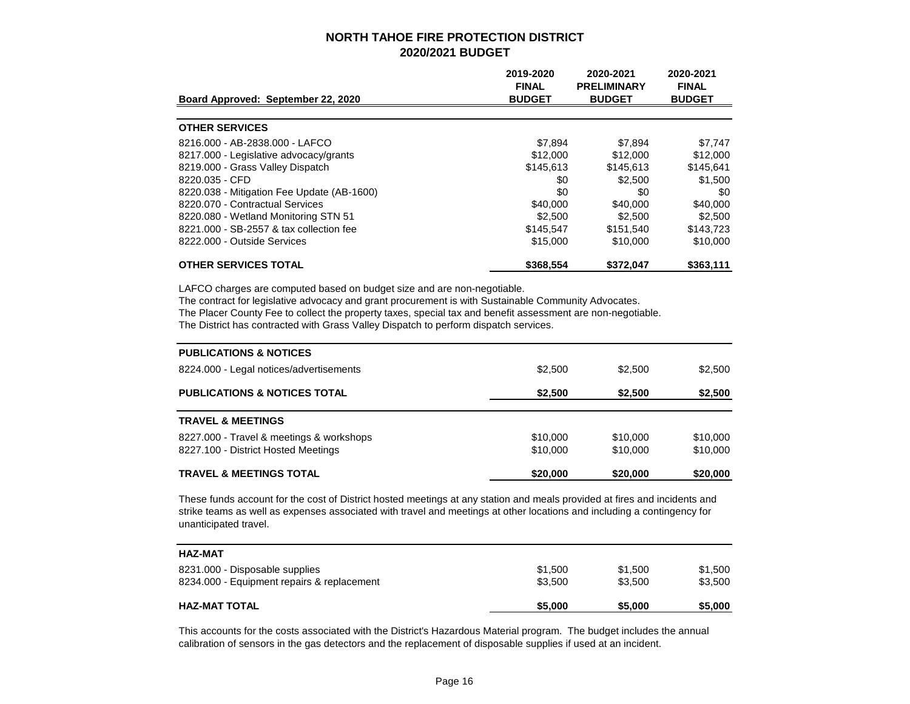| Board Approved: September 22, 2020         | 2019-2020<br><b>FINAL</b><br><b>BUDGET</b> | 2020-2021<br><b>PRELIMINARY</b><br><b>BUDGET</b> | 2020-2021<br><b>FINAL</b><br><b>BUDGET</b> |
|--------------------------------------------|--------------------------------------------|--------------------------------------------------|--------------------------------------------|
|                                            |                                            |                                                  |                                            |
| <b>OTHER SERVICES</b>                      |                                            |                                                  |                                            |
| 8216.000 - AB-2838.000 - LAFCO             | \$7.894                                    | \$7.894                                          | \$7.747                                    |
| 8217.000 - Legislative advocacy/grants     | \$12,000                                   | \$12,000                                         | \$12,000                                   |
| 8219.000 - Grass Valley Dispatch           | \$145.613                                  | \$145.613                                        | \$145.641                                  |
| 8220.035 - CFD                             | \$0                                        | \$2,500                                          | \$1,500                                    |
| 8220.038 - Mitigation Fee Update (AB-1600) | \$0                                        | \$0                                              | \$0                                        |
| 8220.070 - Contractual Services            | \$40,000                                   | \$40,000                                         | \$40,000                                   |
| 8220.080 - Wetland Monitoring STN 51       | \$2.500                                    | \$2,500                                          | \$2,500                                    |
| 8221,000 - SB-2557 & tax collection fee    | \$145.547                                  | \$151.540                                        | \$143,723                                  |
| 8222.000 - Outside Services                | \$15,000                                   | \$10,000                                         | \$10,000                                   |
| <b>OTHER SERVICES TOTAL</b>                | \$368,554                                  | \$372.047                                        | \$363,111                                  |

LAFCO charges are computed based on budget size and are non-negotiable.

The contract for legislative advocacy and grant procurement is with Sustainable Community Advocates.

The Placer County Fee to collect the property taxes, special tax and benefit assessment are non-negotiable.

The District has contracted with Grass Valley Dispatch to perform dispatch services.

| <b>PUBLICATIONS &amp; NOTICES</b>                                               |                      |                      |                      |
|---------------------------------------------------------------------------------|----------------------|----------------------|----------------------|
| 8224.000 - Legal notices/advertisements                                         | \$2,500              | \$2,500              | \$2,500              |
| <b>PUBLICATIONS &amp; NOTICES TOTAL</b>                                         | \$2,500              | \$2,500              | \$2,500              |
| <b>TRAVEL &amp; MEETINGS</b>                                                    |                      |                      |                      |
| 8227.000 - Travel & meetings & workshops<br>8227.100 - District Hosted Meetings | \$10,000<br>\$10,000 | \$10,000<br>\$10,000 | \$10,000<br>\$10,000 |
| <b>TRAVEL &amp; MEETINGS TOTAL</b>                                              | \$20,000             | \$20,000             | \$20,000             |

These funds account for the cost of District hosted meetings at any station and meals provided at fires and incidents and strike teams as well as expenses associated with travel and meetings at other locations and including a contingency for unanticipated travel.

| <b>HAZ-MAT</b>                             |         |         |         |
|--------------------------------------------|---------|---------|---------|
| 8231.000 - Disposable supplies             | \$1,500 | \$1,500 | \$1.500 |
| 8234.000 - Equipment repairs & replacement | \$3.500 | \$3.500 | \$3,500 |
| <b>HAZ-MAT TOTAL</b>                       | \$5,000 | \$5,000 | \$5,000 |

This accounts for the costs associated with the District's Hazardous Material program. The budget includes the annual calibration of sensors in the gas detectors and the replacement of disposable supplies if used at an incident.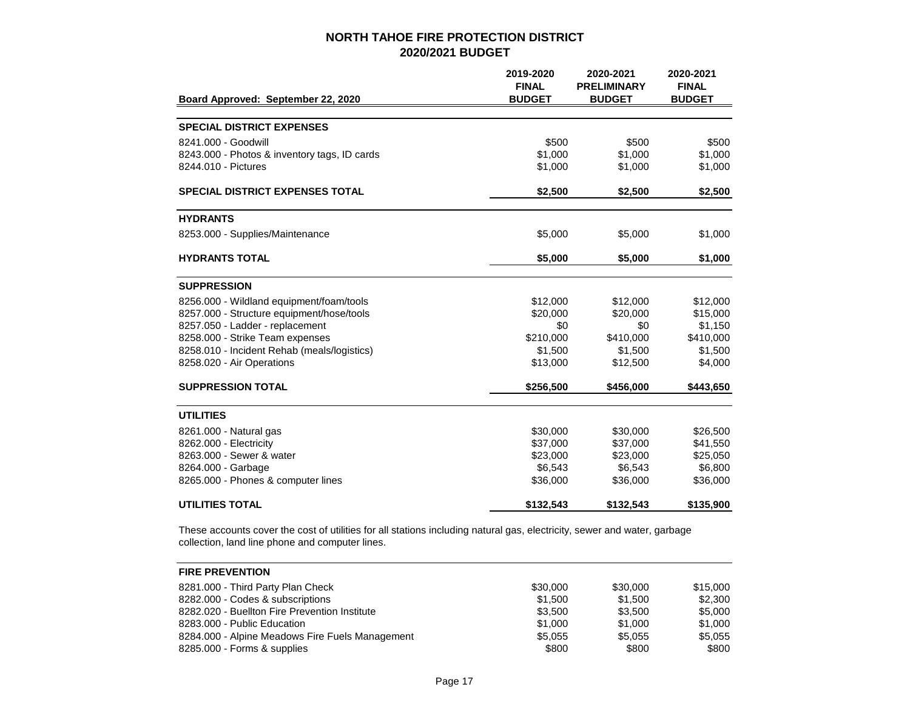|                                              | 2019-2020<br><b>FINAL</b> | 2020-2021<br><b>PRELIMINARY</b> | 2020-2021<br><b>FINAL</b> |
|----------------------------------------------|---------------------------|---------------------------------|---------------------------|
| Board Approved: September 22, 2020           | <b>BUDGET</b>             | <b>BUDGET</b>                   | <b>BUDGET</b>             |
|                                              |                           |                                 |                           |
| <b>SPECIAL DISTRICT EXPENSES</b>             |                           |                                 |                           |
| 8241.000 - Goodwill                          | \$500                     | \$500                           | \$500                     |
| 8243.000 - Photos & inventory tags, ID cards | \$1,000                   | \$1,000                         | \$1,000                   |
| 8244.010 - Pictures                          | \$1,000                   | \$1,000                         | \$1,000                   |
| <b>SPECIAL DISTRICT EXPENSES TOTAL</b>       | \$2,500                   | \$2,500                         | \$2,500                   |
| <b>HYDRANTS</b>                              |                           |                                 |                           |
| 8253.000 - Supplies/Maintenance              | \$5,000                   | \$5,000                         | \$1,000                   |
| <b>HYDRANTS TOTAL</b>                        | \$5,000                   | \$5,000                         | \$1,000                   |
| <b>SUPPRESSION</b>                           |                           |                                 |                           |
| 8256.000 - Wildland equipment/foam/tools     | \$12,000                  | \$12,000                        | \$12,000                  |
| 8257.000 - Structure equipment/hose/tools    | \$20,000                  | \$20,000                        | \$15,000                  |
| 8257.050 - Ladder - replacement              | \$0                       | \$0                             | \$1,150                   |
| 8258.000 - Strike Team expenses              | \$210,000                 | \$410,000                       | \$410,000                 |
| 8258.010 - Incident Rehab (meals/logistics)  | \$1,500                   | \$1,500                         | \$1,500                   |
| 8258.020 - Air Operations                    | \$13,000                  | \$12,500                        | \$4,000                   |
| <b>SUPPRESSION TOTAL</b>                     | \$256,500                 | \$456,000                       | \$443,650                 |
| <b>UTILITIES</b>                             |                           |                                 |                           |
| 8261.000 - Natural gas                       | \$30,000                  | \$30,000                        | \$26,500                  |
| 8262.000 - Electricity                       | \$37,000                  | \$37,000                        | \$41,550                  |
| 8263,000 - Sewer & water                     | \$23,000                  | \$23,000                        | \$25,050                  |
| 8264.000 - Garbage                           | \$6,543                   | \$6,543                         | \$6,800                   |
| 8265.000 - Phones & computer lines           | \$36,000                  | \$36,000                        | \$36,000                  |
| <b>UTILITIES TOTAL</b>                       | \$132,543                 | \$132,543                       | \$135,900                 |

These accounts cover the cost of utilities for all stations including natural gas, electricity, sewer and water, garbage collection, land line phone and computer lines.

| <b>FIRE PREVENTION</b>                          |          |          |          |
|-------------------------------------------------|----------|----------|----------|
| 8281.000 - Third Party Plan Check               | \$30,000 | \$30,000 | \$15,000 |
| 8282.000 - Codes & subscriptions                | \$1.500  | \$1.500  | \$2,300  |
| 8282.020 - Buellton Fire Prevention Institute   | \$3.500  | \$3.500  | \$5,000  |
| 8283,000 - Public Education                     | \$1,000  | \$1,000  | \$1,000  |
| 8284.000 - Alpine Meadows Fire Fuels Management | \$5.055  | \$5.055  | \$5,055  |
| 8285.000 - Forms & supplies                     | \$800    | \$800    | \$800    |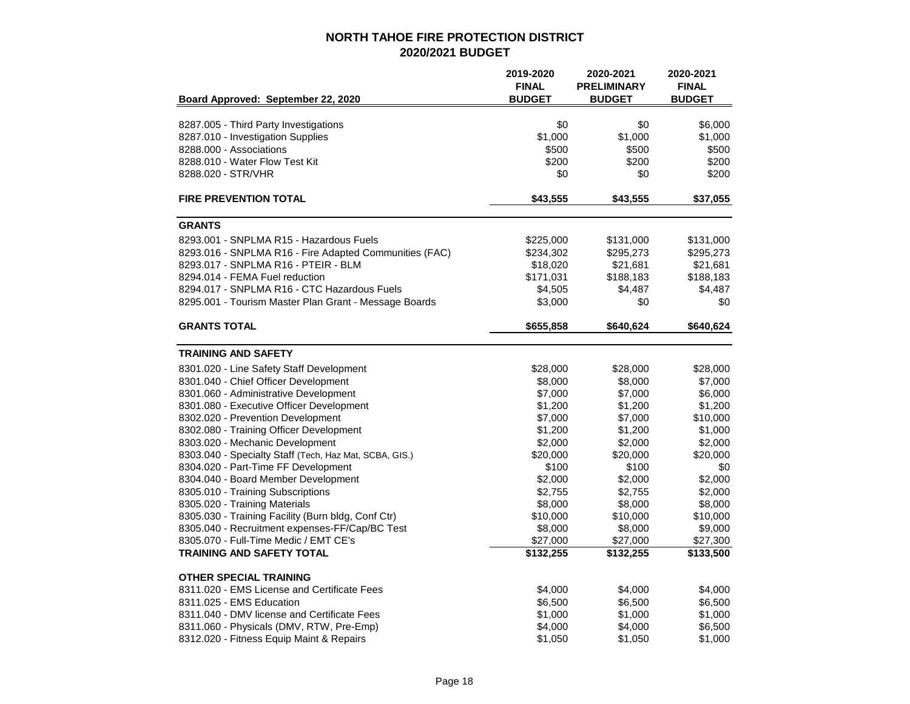|                                                        | 2019-2020<br><b>FINAL</b> | 2020-2021<br><b>PRELIMINARY</b> | 2020-2021<br><b>FINAL</b> |
|--------------------------------------------------------|---------------------------|---------------------------------|---------------------------|
| Board Approved: September 22, 2020                     | <b>BUDGET</b>             | <b>BUDGET</b>                   | <b>BUDGET</b>             |
| 8287.005 - Third Party Investigations                  | \$0                       | \$0                             | \$6,000                   |
| 8287.010 - Investigation Supplies                      | \$1,000                   | \$1,000                         | \$1,000                   |
| 8288,000 - Associations                                | \$500                     | \$500                           | \$500                     |
| 8288.010 - Water Flow Test Kit                         | \$200                     | \$200                           | \$200                     |
| 8288.020 - STR/VHR                                     | \$0                       | \$0                             | \$200                     |
| <b>FIRE PREVENTION TOTAL</b>                           | \$43,555                  | \$43,555                        | \$37,055                  |
| <b>GRANTS</b>                                          |                           |                                 |                           |
| 8293.001 - SNPLMA R15 - Hazardous Fuels                | \$225,000                 | \$131,000                       | \$131,000                 |
| 8293.016 - SNPLMA R16 - Fire Adapted Communities (FAC) | \$234,302                 | \$295,273                       | \$295,273                 |
| 8293.017 - SNPLMA R16 - PTEIR - BLM                    | \$18,020                  | \$21,681                        | \$21,681                  |
| 8294.014 - FEMA Fuel reduction                         | \$171,031                 | \$188,183                       | \$188,183                 |
| 8294.017 - SNPLMA R16 - CTC Hazardous Fuels            | \$4,505                   | \$4,487                         | \$4,487                   |
| 8295.001 - Tourism Master Plan Grant - Message Boards  | \$3,000                   | \$0                             | \$0                       |
| <b>GRANTS TOTAL</b>                                    | \$655,858                 | \$640,624                       | \$640,624                 |
| <b>TRAINING AND SAFETY</b>                             |                           |                                 |                           |
| 8301.020 - Line Safety Staff Development               | \$28,000                  | \$28,000                        | \$28,000                  |
| 8301.040 - Chief Officer Development                   | \$8,000                   | \$8,000                         | \$7,000                   |
| 8301.060 - Administrative Development                  | \$7,000                   | \$7,000                         | \$6,000                   |
| 8301.080 - Executive Officer Development               | \$1,200                   | \$1,200                         | \$1,200                   |
| 8302.020 - Prevention Development                      | \$7,000                   | \$7,000                         | \$10,000                  |
| 8302.080 - Training Officer Development                | \$1,200                   | \$1,200                         | \$1,000                   |
| 8303.020 - Mechanic Development                        | \$2,000                   | \$2,000                         | \$2,000                   |
| 8303.040 - Specialty Staff (Tech, Haz Mat, SCBA, GIS.) | \$20,000                  | \$20,000                        | \$20,000                  |
| 8304.020 - Part-Time FF Development                    | \$100                     | \$100                           | \$0                       |
| 8304.040 - Board Member Development                    | \$2,000                   | \$2,000                         | \$2,000                   |
| 8305.010 - Training Subscriptions                      | \$2,755                   | \$2,755                         | \$2,000                   |
| 8305.020 - Training Materials                          | \$8,000                   | \$8,000                         | \$8,000                   |
| 8305.030 - Training Facility (Burn bldg, Conf Ctr)     | \$10,000                  | \$10,000                        | \$10,000                  |
| 8305.040 - Recruitment expenses-FF/Cap/BC Test         | \$8,000                   | \$8,000                         | \$9,000                   |
| 8305.070 - Full-Time Medic / EMT CE's                  | \$27,000                  | \$27,000                        | \$27,300                  |
| <b>TRAINING AND SAFETY TOTAL</b>                       | \$132,255                 | \$132,255                       | \$133,500                 |
| <b>OTHER SPECIAL TRAINING</b>                          |                           |                                 |                           |
| 8311.020 - EMS License and Certificate Fees            | \$4,000                   | \$4,000                         | \$4,000                   |
| 8311.025 - EMS Education                               | \$6,500                   | \$6,500                         | \$6,500                   |
| 8311.040 - DMV license and Certificate Fees            | \$1,000                   | \$1,000                         | \$1,000                   |
| 8311.060 - Physicals (DMV, RTW, Pre-Emp)               | \$4,000                   | \$4,000                         | \$6,500                   |
| 8312.020 - Fitness Equip Maint & Repairs               | \$1,050                   | \$1,050                         | \$1,000                   |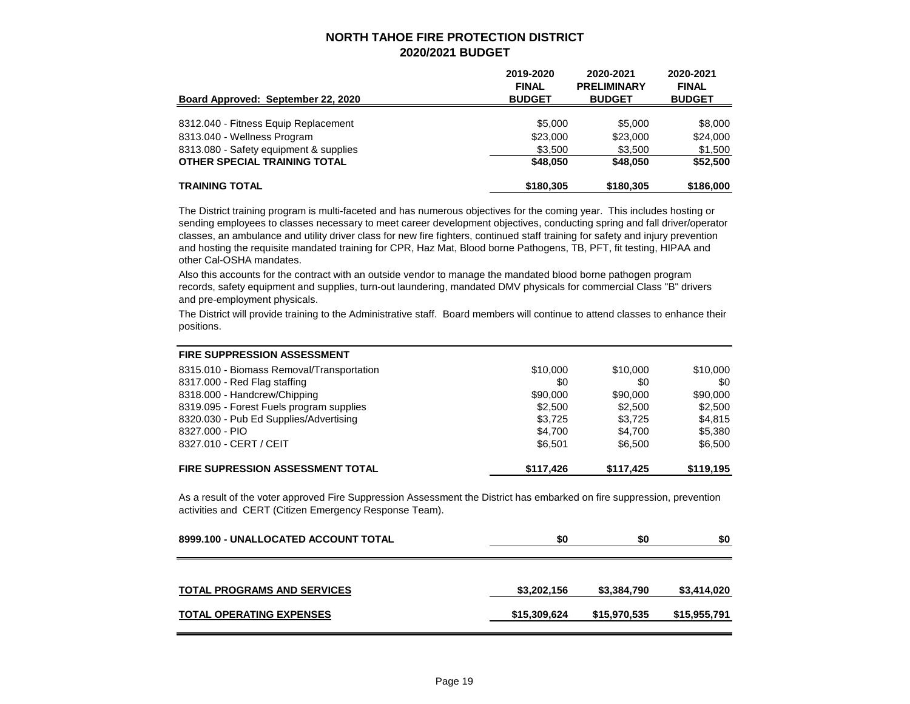| Board Approved: September 22, 2020     | 2019-2020<br><b>FINAL</b><br><b>BUDGET</b> | 2020-2021<br><b>PRELIMINARY</b><br><b>BUDGET</b> | 2020-2021<br><b>FINAL</b><br><b>BUDGET</b> |
|----------------------------------------|--------------------------------------------|--------------------------------------------------|--------------------------------------------|
| 8312.040 - Fitness Equip Replacement   | \$5,000                                    | \$5,000                                          | \$8,000                                    |
| 8313.040 - Wellness Program            | \$23,000                                   | \$23,000                                         | \$24,000                                   |
| 8313.080 - Safety equipment & supplies | \$3,500                                    | \$3,500                                          | \$1,500                                    |
| OTHER SPECIAL TRAINING TOTAL           | \$48,050                                   | \$48,050                                         | \$52,500                                   |
| <b>TRAINING TOTAL</b>                  | \$180,305                                  | \$180,305                                        | \$186,000                                  |

The District training program is multi-faceted and has numerous objectives for the coming year. This includes hosting or sending employees to classes necessary to meet career development objectives, conducting spring and fall driver/operator classes, an ambulance and utility driver class for new fire fighters, continued staff training for safety and injury prevention and hosting the requisite mandated training for CPR, Haz Mat, Blood borne Pathogens, TB, PFT, fit testing, HIPAA and other Cal-OSHA mandates.

Also this accounts for the contract with an outside vendor to manage the mandated blood borne pathogen program records, safety equipment and supplies, turn-out laundering, mandated DMV physicals for commercial Class "B" drivers and pre-employment physicals.

The District will provide training to the Administrative staff. Board members will continue to attend classes to enhance their positions.

| <b>FIRE SUPPRESSION ASSESSMENT</b>        |           |           |           |
|-------------------------------------------|-----------|-----------|-----------|
| 8315.010 - Biomass Removal/Transportation | \$10,000  | \$10,000  | \$10,000  |
| 8317.000 - Red Flag staffing              | \$0       | \$0       | \$0       |
| 8318.000 - Handcrew/Chipping              | \$90,000  | \$90,000  | \$90,000  |
| 8319.095 - Forest Fuels program supplies  | \$2,500   | \$2,500   | \$2,500   |
| 8320.030 - Pub Ed Supplies/Advertising    | \$3,725   | \$3.725   | \$4,815   |
| 8327.000 - PIO                            | \$4,700   | \$4.700   | \$5,380   |
| 8327.010 - CERT / CEIT                    | \$6,501   | \$6.500   | \$6,500   |
| <b>FIRE SUPRESSION ASSESSMENT TOTAL</b>   | \$117,426 | \$117,425 | \$119,195 |

As a result of the voter approved Fire Suppression Assessment the District has embarked on fire suppression, prevention activities and CERT (Citizen Emergency Response Team).

| 8999.100 - UNALLOCATED ACCOUNT TOTAL | \$0          | \$0          | \$0          |
|--------------------------------------|--------------|--------------|--------------|
| <b>TOTAL PROGRAMS AND SERVICES</b>   | \$3,202,156  | \$3,384,790  | \$3,414,020  |
| <b>TOTAL OPERATING EXPENSES</b>      | \$15,309,624 | \$15,970,535 | \$15,955,791 |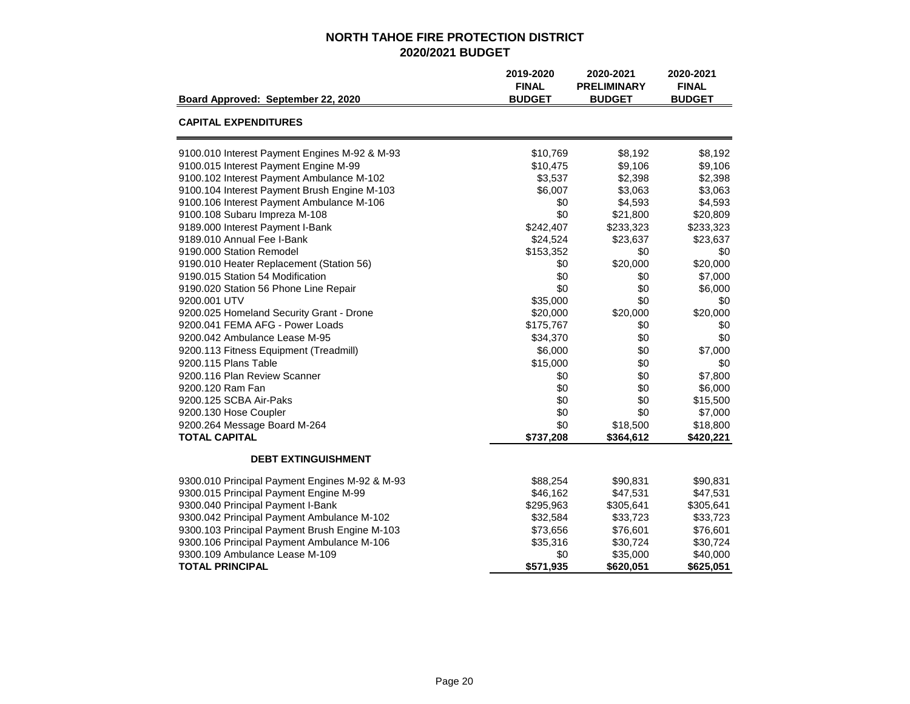|                                                | 2019-2020<br><b>FINAL</b> | 2020-2021<br><b>PRELIMINARY</b> | 2020-2021<br><b>FINAL</b> |
|------------------------------------------------|---------------------------|---------------------------------|---------------------------|
| Board Approved: September 22, 2020             | <b>BUDGET</b>             | <b>BUDGET</b>                   | <b>BUDGET</b>             |
| <b>CAPITAL EXPENDITURES</b>                    |                           |                                 |                           |
| 9100.010 Interest Payment Engines M-92 & M-93  | \$10,769                  | \$8,192                         | \$8,192                   |
| 9100.015 Interest Payment Engine M-99          | \$10,475                  | \$9,106                         | \$9,106                   |
| 9100.102 Interest Payment Ambulance M-102      | \$3,537                   | \$2,398                         | \$2,398                   |
| 9100.104 Interest Payment Brush Engine M-103   | \$6,007                   | \$3,063                         | \$3,063                   |
| 9100.106 Interest Payment Ambulance M-106      | \$0                       | \$4,593                         | \$4,593                   |
| 9100.108 Subaru Impreza M-108                  | \$0                       | \$21,800                        | \$20,809                  |
| 9189.000 Interest Payment I-Bank               | \$242,407                 | \$233,323                       | \$233,323                 |
| 9189.010 Annual Fee I-Bank                     | \$24,524                  | \$23,637                        | \$23,637                  |
| 9190.000 Station Remodel                       | \$153,352                 | \$0                             | \$0                       |
| 9190.010 Heater Replacement (Station 56)       | \$0                       | \$20,000                        | \$20,000                  |
| 9190.015 Station 54 Modification               | \$0                       | \$0                             | \$7,000                   |
| 9190.020 Station 56 Phone Line Repair          | \$0                       | \$0                             | \$6,000                   |
| 9200.001 UTV                                   | \$35,000                  | \$0                             | \$0                       |
| 9200.025 Homeland Security Grant - Drone       | \$20,000                  | \$20,000                        | \$20,000                  |
| 9200.041 FEMA AFG - Power Loads                | \$175,767                 | \$0                             | \$0                       |
| 9200.042 Ambulance Lease M-95                  | \$34,370                  | \$0                             | \$0                       |
| 9200.113 Fitness Equipment (Treadmill)         | \$6,000                   | \$0                             | \$7,000                   |
| 9200.115 Plans Table                           | \$15,000                  | \$0                             | \$0                       |
| 9200.116 Plan Review Scanner                   | \$0                       | \$0                             | \$7,800                   |
| 9200.120 Ram Fan                               | \$0                       | \$0                             | \$6,000                   |
| 9200.125 SCBA Air-Paks                         | \$0                       | \$0                             | \$15,500                  |
| 9200.130 Hose Coupler                          | \$0                       | \$0                             | \$7,000                   |
| 9200.264 Message Board M-264                   | \$0                       | \$18,500                        | \$18,800                  |
| <b>TOTAL CAPITAL</b>                           | \$737,208                 | \$364,612                       | \$420,221                 |
| <b>DEBT EXTINGUISHMENT</b>                     |                           |                                 |                           |
| 9300.010 Principal Payment Engines M-92 & M-93 | \$88,254                  | \$90,831                        | \$90,831                  |
| 9300.015 Principal Payment Engine M-99         | \$46,162                  | \$47,531                        | \$47,531                  |
| 9300.040 Principal Payment I-Bank              | \$295,963                 | \$305,641                       | \$305,641                 |
| 9300.042 Principal Payment Ambulance M-102     | \$32,584                  | \$33,723                        | \$33,723                  |
| 9300.103 Principal Payment Brush Engine M-103  | \$73,656                  | \$76,601                        | \$76,601                  |
| 9300.106 Principal Payment Ambulance M-106     | \$35,316                  | \$30,724                        | \$30,724                  |
| 9300.109 Ambulance Lease M-109                 | \$0                       | \$35,000                        | \$40,000                  |
| <b>TOTAL PRINCIPAL</b>                         | \$571,935                 | \$620,051                       | \$625,051                 |